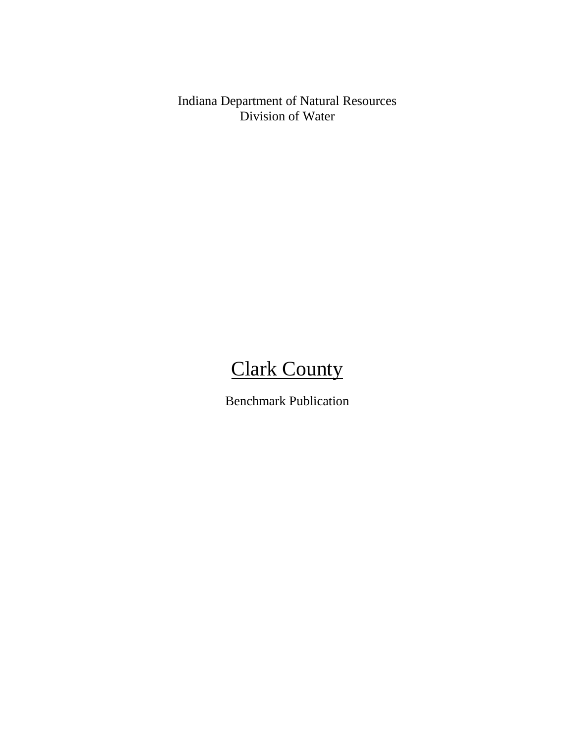Indiana Department of Natural Resources Division of Water

# **Clark County**

Benchmark Publication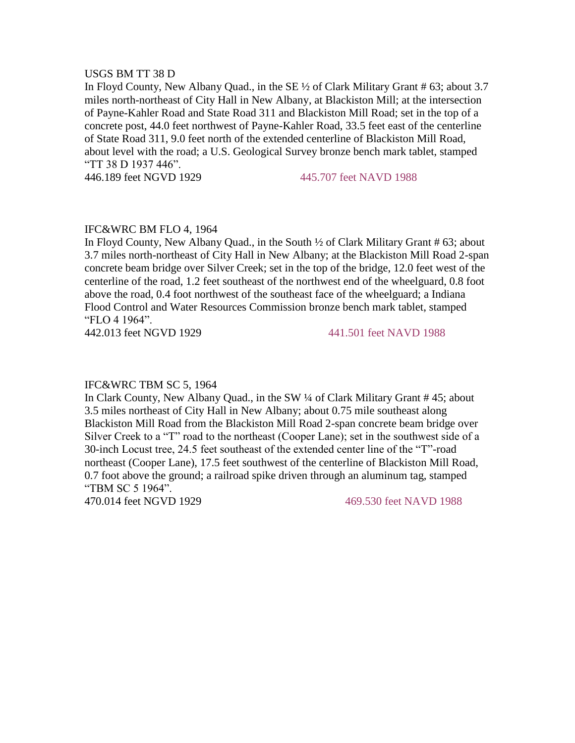#### USGS BM TT 38 D

In Floyd County, New Albany Quad., in the SE ½ of Clark Military Grant # 63; about 3.7 miles north-northeast of City Hall in New Albany, at Blackiston Mill; at the intersection of Payne-Kahler Road and State Road 311 and Blackiston Mill Road; set in the top of a concrete post, 44.0 feet northwest of Payne-Kahler Road, 33.5 feet east of the centerline of State Road 311, 9.0 feet north of the extended centerline of Blackiston Mill Road, about level with the road; a U.S. Geological Survey bronze bench mark tablet, stamped "TT 38 D 1937 446".

446.189 feet NGVD 1929 445.707 feet NAVD 1988

# IFC&WRC BM FLO 4, 1964

In Floyd County, New Albany Quad., in the South ½ of Clark Military Grant # 63; about 3.7 miles north-northeast of City Hall in New Albany; at the Blackiston Mill Road 2-span concrete beam bridge over Silver Creek; set in the top of the bridge, 12.0 feet west of the centerline of the road, 1.2 feet southeast of the northwest end of the wheelguard, 0.8 foot above the road, 0.4 foot northwest of the southeast face of the wheelguard; a Indiana Flood Control and Water Resources Commission bronze bench mark tablet, stamped "FLO 4 1964".

442.013 feet NGVD 1929 441.501 feet NAVD 1988

#### IFC&WRC TBM SC 5, 1964

In Clark County, New Albany Quad., in the SW ¼ of Clark Military Grant # 45; about 3.5 miles northeast of City Hall in New Albany; about 0.75 mile southeast along Blackiston Mill Road from the Blackiston Mill Road 2-span concrete beam bridge over Silver Creek to a "T" road to the northeast (Cooper Lane); set in the southwest side of a 30-inch Locust tree, 24.5 feet southeast of the extended center line of the "T"-road northeast (Cooper Lane), 17.5 feet southwest of the centerline of Blackiston Mill Road, 0.7 foot above the ground; a railroad spike driven through an aluminum tag, stamped "TBM SC 5 1964".

470.014 feet NGVD 1929 469.530 feet NAVD 1988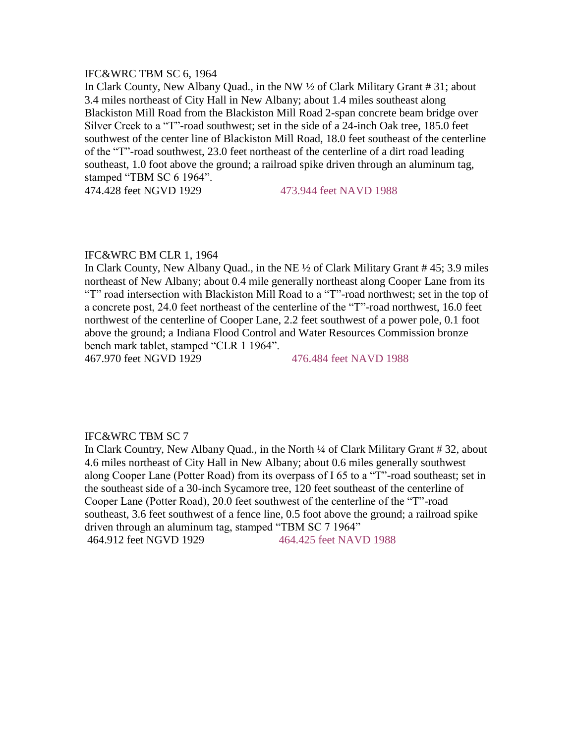#### IFC&WRC TBM SC 6, 1964

In Clark County, New Albany Quad., in the NW ½ of Clark Military Grant # 31; about 3.4 miles northeast of City Hall in New Albany; about 1.4 miles southeast along Blackiston Mill Road from the Blackiston Mill Road 2-span concrete beam bridge over Silver Creek to a "T"-road southwest; set in the side of a 24-inch Oak tree, 185.0 feet southwest of the center line of Blackiston Mill Road, 18.0 feet southeast of the centerline of the "T"-road southwest, 23.0 feet northeast of the centerline of a dirt road leading southeast, 1.0 foot above the ground; a railroad spike driven through an aluminum tag, stamped "TBM SC 6 1964".

474.428 feet NGVD 1929 473.944 feet NAVD 1988

#### IFC&WRC BM CLR 1, 1964

In Clark County, New Albany Quad., in the NE ½ of Clark Military Grant # 45; 3.9 miles northeast of New Albany; about 0.4 mile generally northeast along Cooper Lane from its "T" road intersection with Blackiston Mill Road to a "T"-road northwest; set in the top of a concrete post, 24.0 feet northeast of the centerline of the "T"-road northwest, 16.0 feet northwest of the centerline of Cooper Lane, 2.2 feet southwest of a power pole, 0.1 foot above the ground; a Indiana Flood Control and Water Resources Commission bronze bench mark tablet, stamped "CLR 1 1964". 467.970 feet NGVD 1929 476.484 feet NAVD 1988

### IFC&WRC TBM SC 7

In Clark Country, New Albany Quad., in the North ¼ of Clark Military Grant # 32, about 4.6 miles northeast of City Hall in New Albany; about 0.6 miles generally southwest along Cooper Lane (Potter Road) from its overpass of I 65 to a "T"-road southeast; set in the southeast side of a 30-inch Sycamore tree, 120 feet southeast of the centerline of Cooper Lane (Potter Road), 20.0 feet southwest of the centerline of the "T"-road southeast, 3.6 feet southwest of a fence line, 0.5 foot above the ground; a railroad spike driven through an aluminum tag, stamped "TBM SC 7 1964" 464.912 feet NGVD 1929 464.425 feet NAVD 1988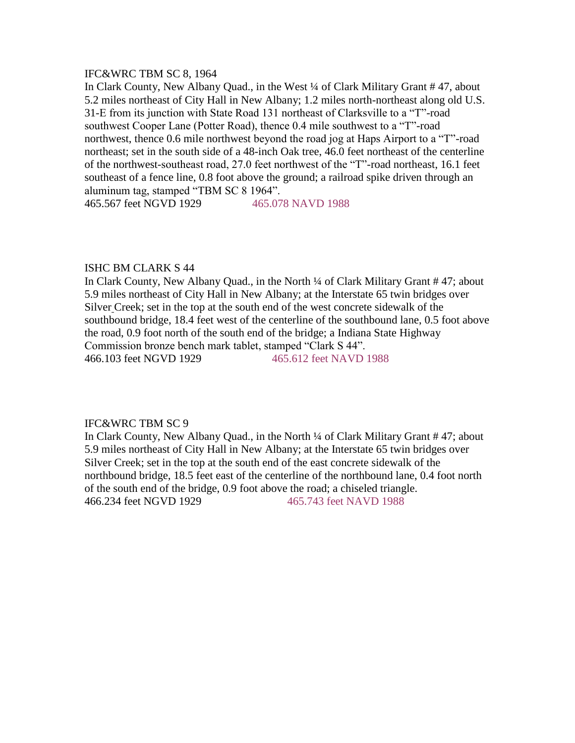# IFC&WRC TBM SC 8, 1964

In Clark County, New Albany Quad., in the West ¼ of Clark Military Grant # 47, about 5.2 miles northeast of City Hall in New Albany; 1.2 miles north-northeast along old U.S. 31-E from its junction with State Road 131 northeast of Clarksville to a "T"-road southwest Cooper Lane (Potter Road), thence 0.4 mile southwest to a "T"-road northwest, thence 0.6 mile northwest beyond the road jog at Haps Airport to a "T"-road northeast; set in the south side of a 48-inch Oak tree, 46.0 feet northeast of the centerline of the northwest-southeast road, 27.0 feet northwest of the "T"-road northeast, 16.1 feet southeast of a fence line, 0.8 foot above the ground; a railroad spike driven through an aluminum tag, stamped "TBM SC 8 1964".

465.567 feet NGVD 1929 465.078 NAVD 1988

# ISHC BM CLARK S 44

In Clark County, New Albany Quad., in the North ¼ of Clark Military Grant # 47; about 5.9 miles northeast of City Hall in New Albany; at the Interstate 65 twin bridges over Silver Creek; set in the top at the south end of the west concrete sidewalk of the southbound bridge, 18.4 feet west of the centerline of the southbound lane, 0.5 foot above the road, 0.9 foot north of the south end of the bridge; a Indiana State Highway Commission bronze bench mark tablet, stamped "Clark S 44". 466.103 feet NGVD 1929 465.612 feet NAVD 1988

# IFC&WRC TBM SC 9

In Clark County, New Albany Quad., in the North ¼ of Clark Military Grant # 47; about 5.9 miles northeast of City Hall in New Albany; at the Interstate 65 twin bridges over Silver Creek; set in the top at the south end of the east concrete sidewalk of the northbound bridge, 18.5 feet east of the centerline of the northbound lane, 0.4 foot north of the south end of the bridge, 0.9 foot above the road; a chiseled triangle. 466.234 feet NGVD 1929 465.743 feet NAVD 1988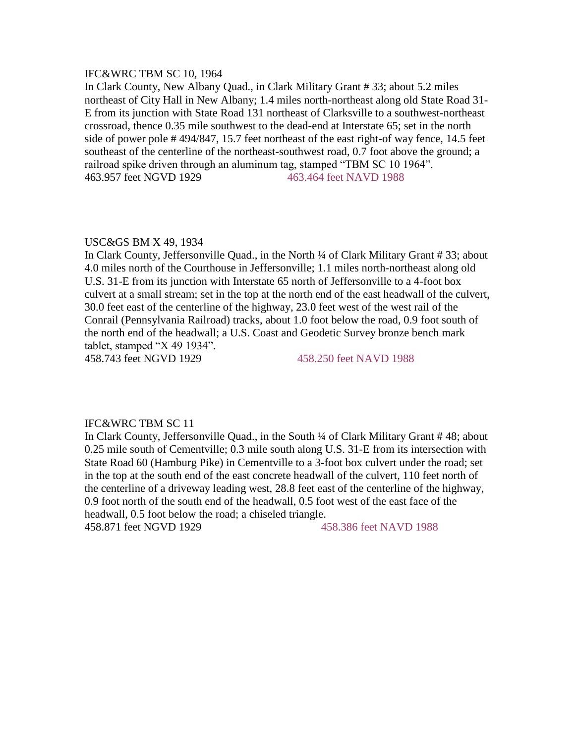# IFC&WRC TBM SC 10, 1964

In Clark County, New Albany Quad., in Clark Military Grant # 33; about 5.2 miles northeast of City Hall in New Albany; 1.4 miles north-northeast along old State Road 31- E from its junction with State Road 131 northeast of Clarksville to a southwest-northeast crossroad, thence 0.35 mile southwest to the dead-end at Interstate 65; set in the north side of power pole # 494/847, 15.7 feet northeast of the east right-of way fence, 14.5 feet southeast of the centerline of the northeast-southwest road, 0.7 foot above the ground; a railroad spike driven through an aluminum tag, stamped "TBM SC 10 1964". 463.957 feet NGVD 1929 463.464 feet NAVD 1988

#### USC&GS BM X 49, 1934

In Clark County, Jeffersonville Quad., in the North ¼ of Clark Military Grant # 33; about 4.0 miles north of the Courthouse in Jeffersonville; 1.1 miles north-northeast along old U.S. 31-E from its junction with Interstate 65 north of Jeffersonville to a 4-foot box culvert at a small stream; set in the top at the north end of the east headwall of the culvert, 30.0 feet east of the centerline of the highway, 23.0 feet west of the west rail of the Conrail (Pennsylvania Railroad) tracks, about 1.0 foot below the road, 0.9 foot south of the north end of the headwall; a U.S. Coast and Geodetic Survey bronze bench mark tablet, stamped "X 49 1934". 458.743 feet NGVD 1929 458.250 feet NAVD 1988

#### IFC&WRC TBM SC 11

In Clark County, Jeffersonville Quad., in the South ¼ of Clark Military Grant # 48; about 0.25 mile south of Cementville; 0.3 mile south along U.S. 31-E from its intersection with State Road 60 (Hamburg Pike) in Cementville to a 3-foot box culvert under the road; set in the top at the south end of the east concrete headwall of the culvert, 110 feet north of the centerline of a driveway leading west, 28.8 feet east of the centerline of the highway, 0.9 foot north of the south end of the headwall, 0.5 foot west of the east face of the headwall, 0.5 foot below the road; a chiseled triangle.

458.871 feet NGVD 1929 458.386 feet NAVD 1988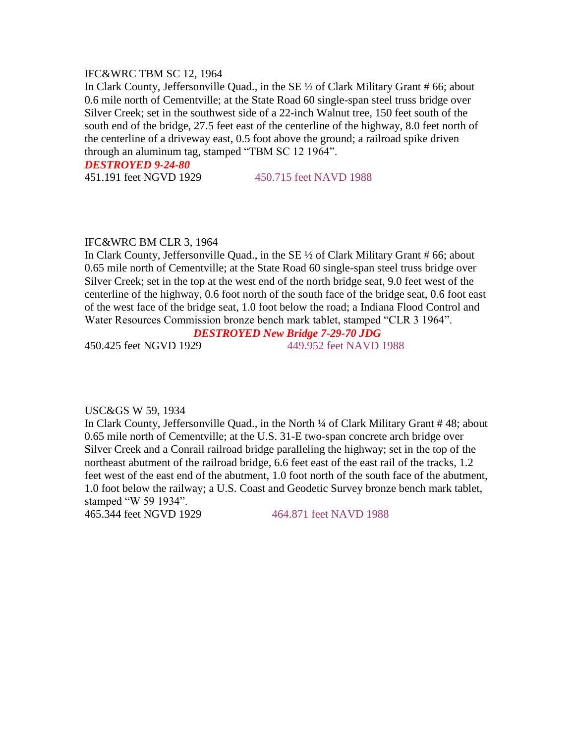# IFC&WRC TBM SC 12, 1964

In Clark County, Jeffersonville Quad., in the SE ½ of Clark Military Grant # 66; about 0.6 mile north of Cementville; at the State Road 60 single-span steel truss bridge over Silver Creek; set in the southwest side of a 22-inch Walnut tree, 150 feet south of the south end of the bridge, 27.5 feet east of the centerline of the highway, 8.0 feet north of the centerline of a driveway east, 0.5 foot above the ground; a railroad spike driven through an aluminum tag, stamped "TBM SC 12 1964".

*DESTROYED 9-24-80* 

451.191 feet NGVD 1929 450.715 feet NAVD 1988

#### IFC&WRC BM CLR 3, 1964

In Clark County, Jeffersonville Quad., in the SE ½ of Clark Military Grant # 66; about 0.65 mile north of Cementville; at the State Road 60 single-span steel truss bridge over Silver Creek; set in the top at the west end of the north bridge seat, 9.0 feet west of the centerline of the highway, 0.6 foot north of the south face of the bridge seat, 0.6 foot east of the west face of the bridge seat, 1.0 foot below the road; a Indiana Flood Control and Water Resources Commission bronze bench mark tablet, stamped "CLR 3 1964".

# *DESTROYED New Bridge 7-29-70 JDG*

450.425 feet NGVD 1929 449.952 feet NAVD 1988

#### USC&GS W 59, 1934

In Clark County, Jeffersonville Quad., in the North ¼ of Clark Military Grant # 48; about 0.65 mile north of Cementville; at the U.S. 31-E two-span concrete arch bridge over Silver Creek and a Conrail railroad bridge paralleling the highway; set in the top of the northeast abutment of the railroad bridge, 6.6 feet east of the east rail of the tracks, 1.2 feet west of the east end of the abutment, 1.0 foot north of the south face of the abutment, 1.0 foot below the railway; a U.S. Coast and Geodetic Survey bronze bench mark tablet, stamped "W 59 1934".

465.344 feet NGVD 1929 464.871 feet NAVD 1988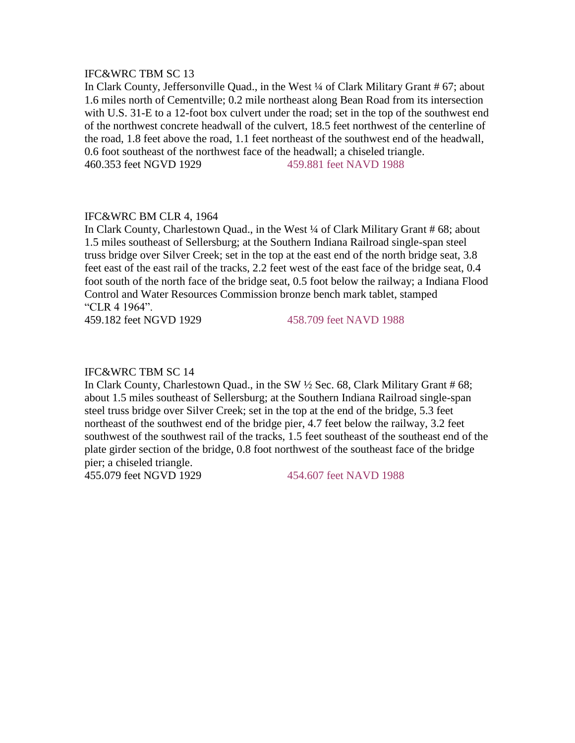# IFC&WRC TBM SC 13

In Clark County, Jeffersonville Quad., in the West ¼ of Clark Military Grant # 67; about 1.6 miles north of Cementville; 0.2 mile northeast along Bean Road from its intersection with U.S. 31-E to a 12-foot box culvert under the road; set in the top of the southwest end of the northwest concrete headwall of the culvert, 18.5 feet northwest of the centerline of the road, 1.8 feet above the road, 1.1 feet northeast of the southwest end of the headwall, 0.6 foot southeast of the northwest face of the headwall; a chiseled triangle. 460.353 feet NGVD 1929 459.881 feet NAVD 1988

# IFC&WRC BM CLR 4, 1964

In Clark County, Charlestown Quad., in the West ¼ of Clark Military Grant # 68; about 1.5 miles southeast of Sellersburg; at the Southern Indiana Railroad single-span steel truss bridge over Silver Creek; set in the top at the east end of the north bridge seat, 3.8 feet east of the east rail of the tracks, 2.2 feet west of the east face of the bridge seat, 0.4 foot south of the north face of the bridge seat, 0.5 foot below the railway; a Indiana Flood Control and Water Resources Commission bronze bench mark tablet, stamped "CLR 4 1964".

459.182 feet NGVD 1929 458.709 feet NAVD 1988

#### IFC&WRC TBM SC 14

In Clark County, Charlestown Quad., in the SW ½ Sec. 68, Clark Military Grant # 68; about 1.5 miles southeast of Sellersburg; at the Southern Indiana Railroad single-span steel truss bridge over Silver Creek; set in the top at the end of the bridge, 5.3 feet northeast of the southwest end of the bridge pier, 4.7 feet below the railway, 3.2 feet southwest of the southwest rail of the tracks, 1.5 feet southeast of the southeast end of the plate girder section of the bridge, 0.8 foot northwest of the southeast face of the bridge pier; a chiseled triangle.

455.079 feet NGVD 1929 454.607 feet NAVD 1988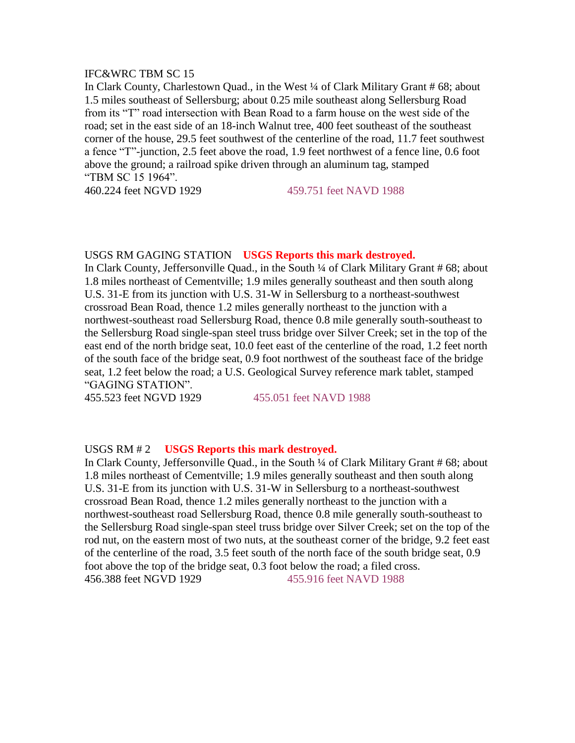# IFC&WRC TBM SC 15

In Clark County, Charlestown Quad., in the West ¼ of Clark Military Grant # 68; about 1.5 miles southeast of Sellersburg; about 0.25 mile southeast along Sellersburg Road from its "T" road intersection with Bean Road to a farm house on the west side of the road; set in the east side of an 18-inch Walnut tree, 400 feet southeast of the southeast corner of the house, 29.5 feet southwest of the centerline of the road, 11.7 feet southwest a fence "T"-junction, 2.5 feet above the road, 1.9 feet northwest of a fence line, 0.6 foot above the ground; a railroad spike driven through an aluminum tag, stamped "TBM SC 15 1964".

460.224 feet NGVD 1929 459.751 feet NAVD 1988

#### USGS RM GAGING STATION **USGS Reports this mark destroyed.**

In Clark County, Jeffersonville Quad., in the South ¼ of Clark Military Grant # 68; about 1.8 miles northeast of Cementville; 1.9 miles generally southeast and then south along U.S. 31-E from its junction with U.S. 31-W in Sellersburg to a northeast-southwest crossroad Bean Road, thence 1.2 miles generally northeast to the junction with a northwest-southeast road Sellersburg Road, thence 0.8 mile generally south-southeast to the Sellersburg Road single-span steel truss bridge over Silver Creek; set in the top of the east end of the north bridge seat, 10.0 feet east of the centerline of the road, 1.2 feet north of the south face of the bridge seat, 0.9 foot northwest of the southeast face of the bridge seat, 1.2 feet below the road; a U.S. Geological Survey reference mark tablet, stamped "GAGING STATION".

455.523 feet NGVD 1929 455.051 feet NAVD 1988

# USGS RM # 2 **USGS Reports this mark destroyed.**

In Clark County, Jeffersonville Quad., in the South ¼ of Clark Military Grant # 68; about 1.8 miles northeast of Cementville; 1.9 miles generally southeast and then south along U.S. 31-E from its junction with U.S. 31-W in Sellersburg to a northeast-southwest crossroad Bean Road, thence 1.2 miles generally northeast to the junction with a northwest-southeast road Sellersburg Road, thence 0.8 mile generally south-southeast to the Sellersburg Road single-span steel truss bridge over Silver Creek; set on the top of the rod nut, on the eastern most of two nuts, at the southeast corner of the bridge, 9.2 feet east of the centerline of the road, 3.5 feet south of the north face of the south bridge seat, 0.9 foot above the top of the bridge seat, 0.3 foot below the road; a filed cross. 456.388 feet NGVD 1929 455.916 feet NAVD 1988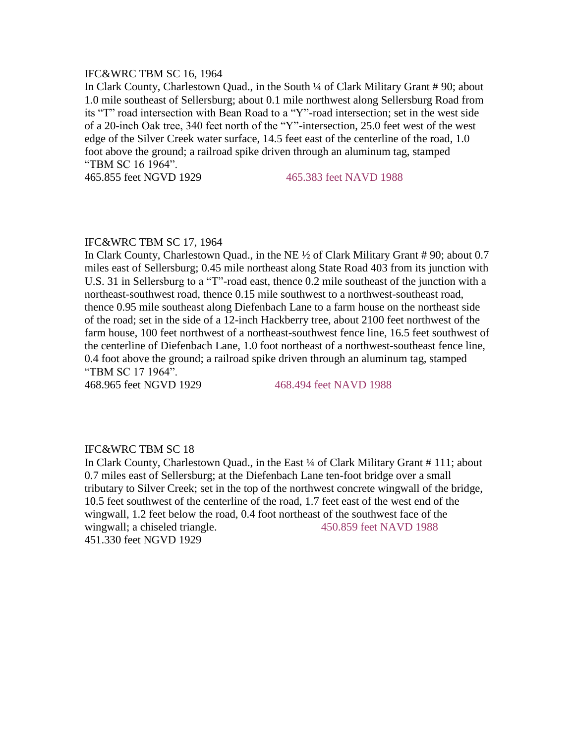# IFC&WRC TBM SC 16, 1964

In Clark County, Charlestown Quad., in the South ¼ of Clark Military Grant # 90; about 1.0 mile southeast of Sellersburg; about 0.1 mile northwest along Sellersburg Road from its "T" road intersection with Bean Road to a "Y"-road intersection; set in the west side of a 20-inch Oak tree, 340 feet north of the "Y"-intersection, 25.0 feet west of the west edge of the Silver Creek water surface, 14.5 feet east of the centerline of the road, 1.0 foot above the ground; a railroad spike driven through an aluminum tag, stamped "TBM SC 16 1964".

465.855 feet NGVD 1929 465.383 feet NAVD 1988

#### IFC&WRC TBM SC 17, 1964

In Clark County, Charlestown Quad., in the NE ½ of Clark Military Grant # 90; about 0.7 miles east of Sellersburg; 0.45 mile northeast along State Road 403 from its junction with U.S. 31 in Sellersburg to a "T"-road east, thence 0.2 mile southeast of the junction with a northeast-southwest road, thence 0.15 mile southwest to a northwest-southeast road, thence 0.95 mile southeast along Diefenbach Lane to a farm house on the northeast side of the road; set in the side of a 12-inch Hackberry tree, about 2100 feet northwest of the farm house, 100 feet northwest of a northeast-southwest fence line, 16.5 feet southwest of the centerline of Diefenbach Lane, 1.0 foot northeast of a northwest-southeast fence line, 0.4 foot above the ground; a railroad spike driven through an aluminum tag, stamped "TBM SC 17 1964".

468.965 feet NGVD 1929 468.494 feet NAVD 1988

# IFC&WRC TBM SC 18

In Clark County, Charlestown Quad., in the East ¼ of Clark Military Grant #111; about 0.7 miles east of Sellersburg; at the Diefenbach Lane ten-foot bridge over a small tributary to Silver Creek; set in the top of the northwest concrete wingwall of the bridge, 10.5 feet southwest of the centerline of the road, 1.7 feet east of the west end of the wingwall, 1.2 feet below the road, 0.4 foot northeast of the southwest face of the wingwall; a chiseled triangle. 450.859 feet NAVD 1988 451.330 feet NGVD 1929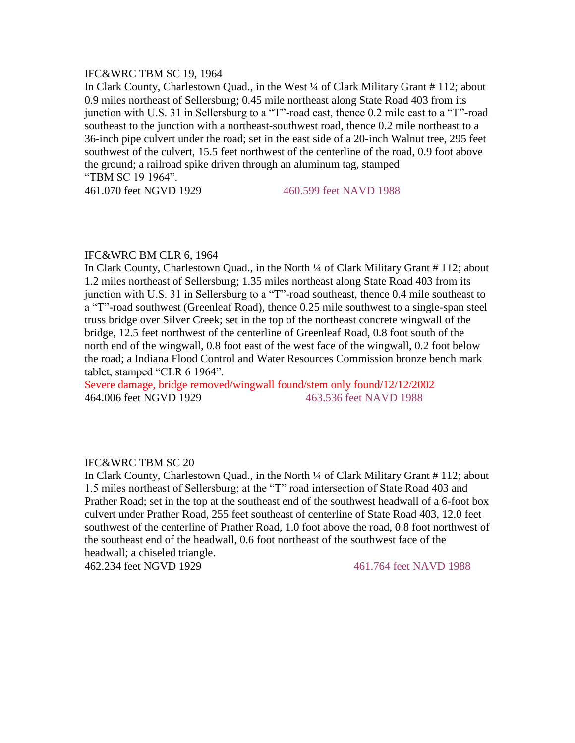# IFC&WRC TBM SC 19, 1964

In Clark County, Charlestown Quad., in the West ¼ of Clark Military Grant # 112; about 0.9 miles northeast of Sellersburg; 0.45 mile northeast along State Road 403 from its junction with U.S. 31 in Sellersburg to a "T"-road east, thence 0.2 mile east to a "T"-road southeast to the junction with a northeast-southwest road, thence 0.2 mile northeast to a 36-inch pipe culvert under the road; set in the east side of a 20-inch Walnut tree, 295 feet southwest of the culvert, 15.5 feet northwest of the centerline of the road, 0.9 foot above the ground; a railroad spike driven through an aluminum tag, stamped "TBM SC 19 1964".

461.070 feet NGVD 1929 460.599 feet NAVD 1988

#### IFC&WRC BM CLR 6, 1964

In Clark County, Charlestown Quad., in the North ¼ of Clark Military Grant # 112; about 1.2 miles northeast of Sellersburg; 1.35 miles northeast along State Road 403 from its junction with U.S. 31 in Sellersburg to a "T"-road southeast, thence 0.4 mile southeast to a "T"-road southwest (Greenleaf Road), thence 0.25 mile southwest to a single-span steel truss bridge over Silver Creek; set in the top of the northeast concrete wingwall of the bridge, 12.5 feet northwest of the centerline of Greenleaf Road, 0.8 foot south of the north end of the wingwall, 0.8 foot east of the west face of the wingwall, 0.2 foot below the road; a Indiana Flood Control and Water Resources Commission bronze bench mark tablet, stamped "CLR 6 1964".

Severe damage, bridge removed/wingwall found/stem only found/12/12/2002 464.006 feet NGVD 1929 463.536 feet NAVD 1988

### IFC&WRC TBM SC 20

In Clark County, Charlestown Quad., in the North ¼ of Clark Military Grant # 112; about 1.5 miles northeast of Sellersburg; at the "T" road intersection of State Road 403 and Prather Road; set in the top at the southeast end of the southwest headwall of a 6-foot box culvert under Prather Road, 255 feet southeast of centerline of State Road 403, 12.0 feet southwest of the centerline of Prather Road, 1.0 foot above the road, 0.8 foot northwest of the southeast end of the headwall, 0.6 foot northeast of the southwest face of the headwall; a chiseled triangle.

462.234 feet NGVD 1929 461.764 feet NAVD 1988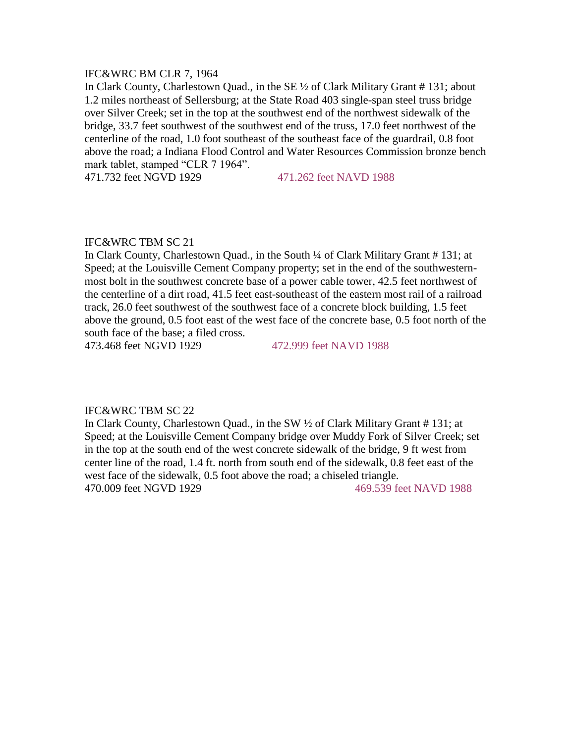#### IFC&WRC BM CLR 7, 1964

In Clark County, Charlestown Quad., in the SE ½ of Clark Military Grant # 131; about 1.2 miles northeast of Sellersburg; at the State Road 403 single-span steel truss bridge over Silver Creek; set in the top at the southwest end of the northwest sidewalk of the bridge, 33.7 feet southwest of the southwest end of the truss, 17.0 feet northwest of the centerline of the road, 1.0 foot southeast of the southeast face of the guardrail, 0.8 foot above the road; a Indiana Flood Control and Water Resources Commission bronze bench mark tablet, stamped "CLR 7 1964".

471.732 feet NGVD 1929 471.262 feet NAVD 1988

# IFC&WRC TBM SC 21

In Clark County, Charlestown Quad., in the South ¼ of Clark Military Grant # 131; at Speed; at the Louisville Cement Company property; set in the end of the southwesternmost bolt in the southwest concrete base of a power cable tower, 42.5 feet northwest of the centerline of a dirt road, 41.5 feet east-southeast of the eastern most rail of a railroad track, 26.0 feet southwest of the southwest face of a concrete block building, 1.5 feet above the ground, 0.5 foot east of the west face of the concrete base, 0.5 foot north of the south face of the base; a filed cross.

473.468 feet NGVD 1929 472.999 feet NAVD 1988

#### IFC&WRC TBM SC 22

In Clark County, Charlestown Quad., in the SW ½ of Clark Military Grant # 131; at Speed; at the Louisville Cement Company bridge over Muddy Fork of Silver Creek; set in the top at the south end of the west concrete sidewalk of the bridge, 9 ft west from center line of the road, 1.4 ft. north from south end of the sidewalk, 0.8 feet east of the west face of the sidewalk, 0.5 foot above the road; a chiseled triangle. 470.009 feet NGVD 1929 469.539 feet NAVD 1988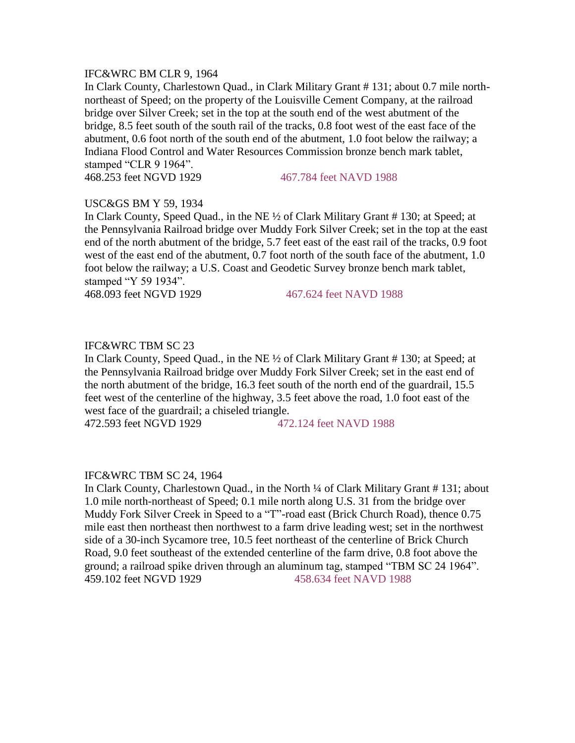### IFC&WRC BM CLR 9, 1964

In Clark County, Charlestown Quad., in Clark Military Grant # 131; about 0.7 mile northnortheast of Speed; on the property of the Louisville Cement Company, at the railroad bridge over Silver Creek; set in the top at the south end of the west abutment of the bridge, 8.5 feet south of the south rail of the tracks, 0.8 foot west of the east face of the abutment, 0.6 foot north of the south end of the abutment, 1.0 foot below the railway; a Indiana Flood Control and Water Resources Commission bronze bench mark tablet, stamped "CLR 9 1964".

468.253 feet NGVD 1929 467.784 feet NAVD 1988

#### USC&GS BM Y 59, 1934

In Clark County, Speed Quad., in the NE ½ of Clark Military Grant # 130; at Speed; at the Pennsylvania Railroad bridge over Muddy Fork Silver Creek; set in the top at the east end of the north abutment of the bridge, 5.7 feet east of the east rail of the tracks, 0.9 foot west of the east end of the abutment, 0.7 foot north of the south face of the abutment, 1.0 foot below the railway; a U.S. Coast and Geodetic Survey bronze bench mark tablet, stamped "Y 59 1934".

468.093 feet NGVD 1929 467.624 feet NAVD 1988

# IFC&WRC TBM SC 23

In Clark County, Speed Quad., in the NE ½ of Clark Military Grant # 130; at Speed; at the Pennsylvania Railroad bridge over Muddy Fork Silver Creek; set in the east end of the north abutment of the bridge, 16.3 feet south of the north end of the guardrail, 15.5 feet west of the centerline of the highway, 3.5 feet above the road, 1.0 foot east of the west face of the guardrail; a chiseled triangle.

472.593 feet NGVD 1929 472.124 feet NAVD 1988

#### IFC&WRC TBM SC 24, 1964

In Clark County, Charlestown Quad., in the North ¼ of Clark Military Grant # 131; about 1.0 mile north-northeast of Speed; 0.1 mile north along U.S. 31 from the bridge over Muddy Fork Silver Creek in Speed to a "T"-road east (Brick Church Road), thence 0.75 mile east then northeast then northwest to a farm drive leading west; set in the northwest side of a 30-inch Sycamore tree, 10.5 feet northeast of the centerline of Brick Church Road, 9.0 feet southeast of the extended centerline of the farm drive, 0.8 foot above the ground; a railroad spike driven through an aluminum tag, stamped "TBM SC 24 1964". 459.102 feet NGVD 1929 458.634 feet NAVD 1988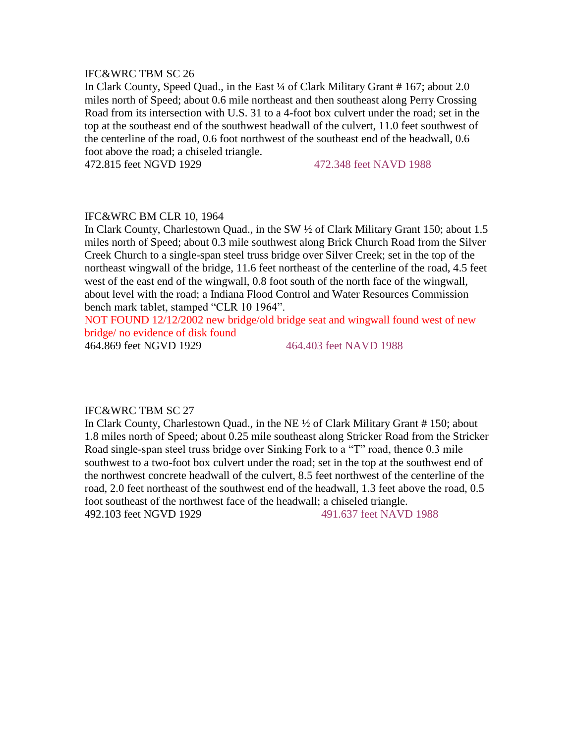# IFC&WRC TBM SC 26

In Clark County, Speed Quad., in the East ¼ of Clark Military Grant #167; about 2.0 miles north of Speed; about 0.6 mile northeast and then southeast along Perry Crossing Road from its intersection with U.S. 31 to a 4-foot box culvert under the road; set in the top at the southeast end of the southwest headwall of the culvert, 11.0 feet southwest of the centerline of the road, 0.6 foot northwest of the southeast end of the headwall, 0.6 foot above the road; a chiseled triangle.

472.815 feet NGVD 1929 472.348 feet NAVD 1988

# IFC&WRC BM CLR 10, 1964

In Clark County, Charlestown Quad., in the SW ½ of Clark Military Grant 150; about 1.5 miles north of Speed; about 0.3 mile southwest along Brick Church Road from the Silver Creek Church to a single-span steel truss bridge over Silver Creek; set in the top of the northeast wingwall of the bridge, 11.6 feet northeast of the centerline of the road, 4.5 feet west of the east end of the wingwall, 0.8 foot south of the north face of the wingwall, about level with the road; a Indiana Flood Control and Water Resources Commission bench mark tablet, stamped "CLR 10 1964".

NOT FOUND 12/12/2002 new bridge/old bridge seat and wingwall found west of new bridge/ no evidence of disk found

464.869 feet NGVD 1929 464.403 feet NAVD 1988

# IFC&WRC TBM SC 27

In Clark County, Charlestown Quad., in the NE ½ of Clark Military Grant # 150; about 1.8 miles north of Speed; about 0.25 mile southeast along Stricker Road from the Stricker Road single-span steel truss bridge over Sinking Fork to a "T" road, thence 0.3 mile southwest to a two-foot box culvert under the road; set in the top at the southwest end of the northwest concrete headwall of the culvert, 8.5 feet northwest of the centerline of the road, 2.0 feet northeast of the southwest end of the headwall, 1.3 feet above the road, 0.5 foot southeast of the northwest face of the headwall; a chiseled triangle. 492.103 feet NGVD 1929 491.637 feet NAVD 1988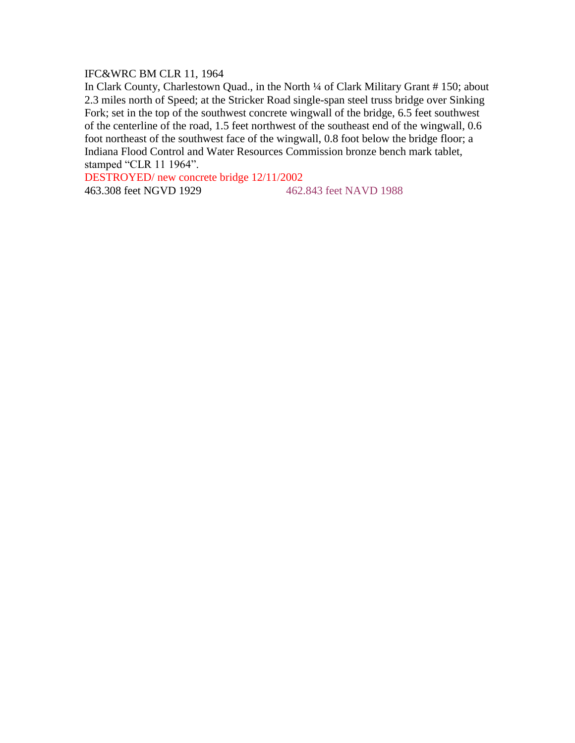# IFC&WRC BM CLR 11, 1964

In Clark County, Charlestown Quad., in the North ¼ of Clark Military Grant # 150; about 2.3 miles north of Speed; at the Stricker Road single-span steel truss bridge over Sinking Fork; set in the top of the southwest concrete wingwall of the bridge, 6.5 feet southwest of the centerline of the road, 1.5 feet northwest of the southeast end of the wingwall, 0.6 foot northeast of the southwest face of the wingwall, 0.8 foot below the bridge floor; a Indiana Flood Control and Water Resources Commission bronze bench mark tablet, stamped "CLR 11 1964".

DESTROYED/ new concrete bridge 12/11/2002

463.308 feet NGVD 1929 462.843 feet NAVD 1988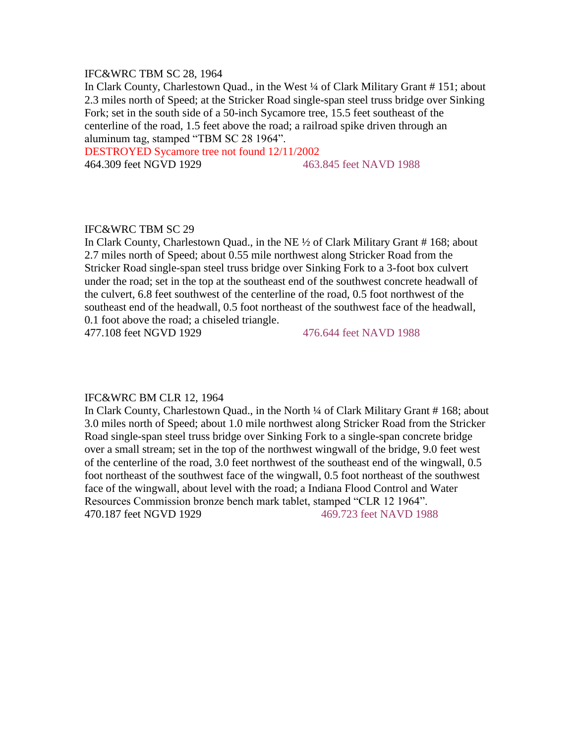# IFC&WRC TBM SC 28, 1964

In Clark County, Charlestown Quad., in the West ¼ of Clark Military Grant # 151; about 2.3 miles north of Speed; at the Stricker Road single-span steel truss bridge over Sinking Fork; set in the south side of a 50-inch Sycamore tree, 15.5 feet southeast of the centerline of the road, 1.5 feet above the road; a railroad spike driven through an aluminum tag, stamped "TBM SC 28 1964".

DESTROYED Sycamore tree not found 12/11/2002 464.309 feet NGVD 1929 463.845 feet NAVD 1988

### IFC&WRC TBM SC 29

In Clark County, Charlestown Quad., in the NE ½ of Clark Military Grant # 168; about 2.7 miles north of Speed; about 0.55 mile northwest along Stricker Road from the Stricker Road single-span steel truss bridge over Sinking Fork to a 3-foot box culvert under the road; set in the top at the southeast end of the southwest concrete headwall of the culvert, 6.8 feet southwest of the centerline of the road, 0.5 foot northwest of the southeast end of the headwall, 0.5 foot northeast of the southwest face of the headwall, 0.1 foot above the road; a chiseled triangle.

477.108 feet NGVD 1929 476.644 feet NAVD 1988

#### IFC&WRC BM CLR 12, 1964

In Clark County, Charlestown Quad., in the North ¼ of Clark Military Grant # 168; about 3.0 miles north of Speed; about 1.0 mile northwest along Stricker Road from the Stricker Road single-span steel truss bridge over Sinking Fork to a single-span concrete bridge over a small stream; set in the top of the northwest wingwall of the bridge, 9.0 feet west of the centerline of the road, 3.0 feet northwest of the southeast end of the wingwall, 0.5 foot northeast of the southwest face of the wingwall, 0.5 foot northeast of the southwest face of the wingwall, about level with the road; a Indiana Flood Control and Water Resources Commission bronze bench mark tablet, stamped "CLR 12 1964". 470.187 feet NGVD 1929 469.723 feet NAVD 1988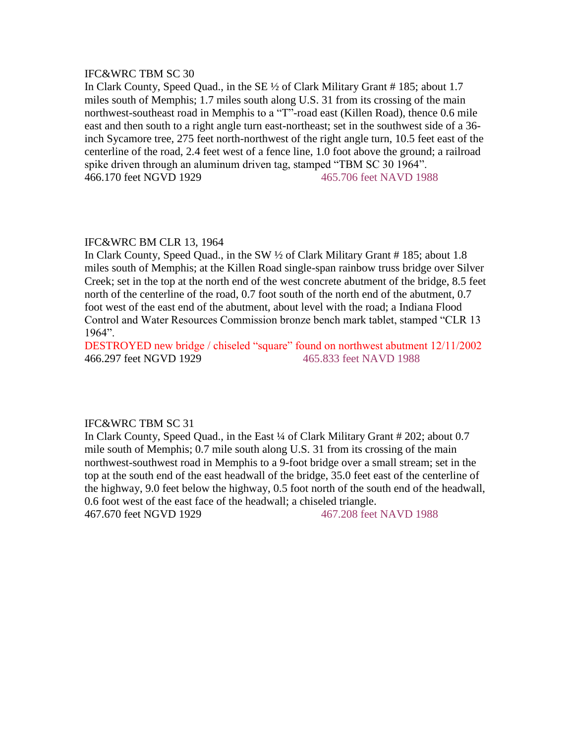# IFC&WRC TBM SC 30

In Clark County, Speed Quad., in the SE ½ of Clark Military Grant # 185; about 1.7 miles south of Memphis; 1.7 miles south along U.S. 31 from its crossing of the main northwest-southeast road in Memphis to a "T"-road east (Killen Road), thence 0.6 mile east and then south to a right angle turn east-northeast; set in the southwest side of a 36 inch Sycamore tree, 275 feet north-northwest of the right angle turn, 10.5 feet east of the centerline of the road, 2.4 feet west of a fence line, 1.0 foot above the ground; a railroad spike driven through an aluminum driven tag, stamped "TBM SC 30 1964". 466.170 feet NGVD 1929 465.706 feet NAVD 1988

# IFC&WRC BM CLR 13, 1964

In Clark County, Speed Quad., in the SW ½ of Clark Military Grant # 185; about 1.8 miles south of Memphis; at the Killen Road single-span rainbow truss bridge over Silver Creek; set in the top at the north end of the west concrete abutment of the bridge, 8.5 feet north of the centerline of the road, 0.7 foot south of the north end of the abutment, 0.7 foot west of the east end of the abutment, about level with the road; a Indiana Flood Control and Water Resources Commission bronze bench mark tablet, stamped "CLR 13 1964".

DESTROYED new bridge / chiseled "square" found on northwest abutment 12/11/2002 466.297 feet NGVD 1929 465.833 feet NAVD 1988

# IFC&WRC TBM SC 31

In Clark County, Speed Quad., in the East ¼ of Clark Military Grant # 202; about 0.7 mile south of Memphis; 0.7 mile south along U.S. 31 from its crossing of the main northwest-southwest road in Memphis to a 9-foot bridge over a small stream; set in the top at the south end of the east headwall of the bridge, 35.0 feet east of the centerline of the highway, 9.0 feet below the highway, 0.5 foot north of the south end of the headwall, 0.6 foot west of the east face of the headwall; a chiseled triangle. 467.670 feet NGVD 1929 467.208 feet NAVD 1988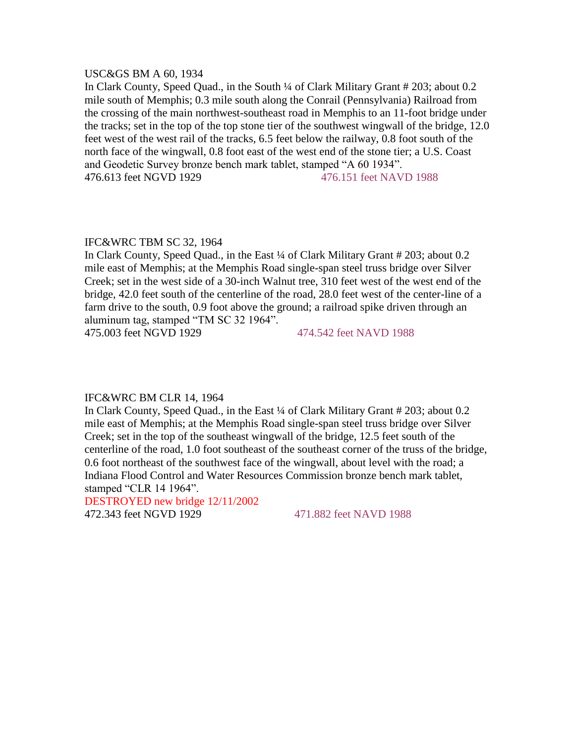#### USC&GS BM A 60, 1934

In Clark County, Speed Quad., in the South ¼ of Clark Military Grant # 203; about 0.2 mile south of Memphis; 0.3 mile south along the Conrail (Pennsylvania) Railroad from the crossing of the main northwest-southeast road in Memphis to an 11-foot bridge under the tracks; set in the top of the top stone tier of the southwest wingwall of the bridge, 12.0 feet west of the west rail of the tracks, 6.5 feet below the railway, 0.8 foot south of the north face of the wingwall, 0.8 foot east of the west end of the stone tier; a U.S. Coast and Geodetic Survey bronze bench mark tablet, stamped "A 60 1934". 476.613 feet NGVD 1929 476.151 feet NAVD 1988

## IFC&WRC TBM SC 32, 1964

In Clark County, Speed Quad., in the East ¼ of Clark Military Grant # 203; about 0.2 mile east of Memphis; at the Memphis Road single-span steel truss bridge over Silver Creek; set in the west side of a 30-inch Walnut tree, 310 feet west of the west end of the bridge, 42.0 feet south of the centerline of the road, 28.0 feet west of the center-line of a farm drive to the south, 0.9 foot above the ground; a railroad spike driven through an aluminum tag, stamped "TM SC 32 1964".

475.003 feet NGVD 1929 474.542 feet NAVD 1988

#### IFC&WRC BM CLR 14, 1964

In Clark County, Speed Quad., in the East ¼ of Clark Military Grant # 203; about 0.2 mile east of Memphis; at the Memphis Road single-span steel truss bridge over Silver Creek; set in the top of the southeast wingwall of the bridge, 12.5 feet south of the centerline of the road, 1.0 foot southeast of the southeast corner of the truss of the bridge, 0.6 foot northeast of the southwest face of the wingwall, about level with the road; a Indiana Flood Control and Water Resources Commission bronze bench mark tablet, stamped "CLR 14 1964".

DESTROYED new bridge 12/11/2002 472.343 feet NGVD 1929 471.882 feet NAVD 1988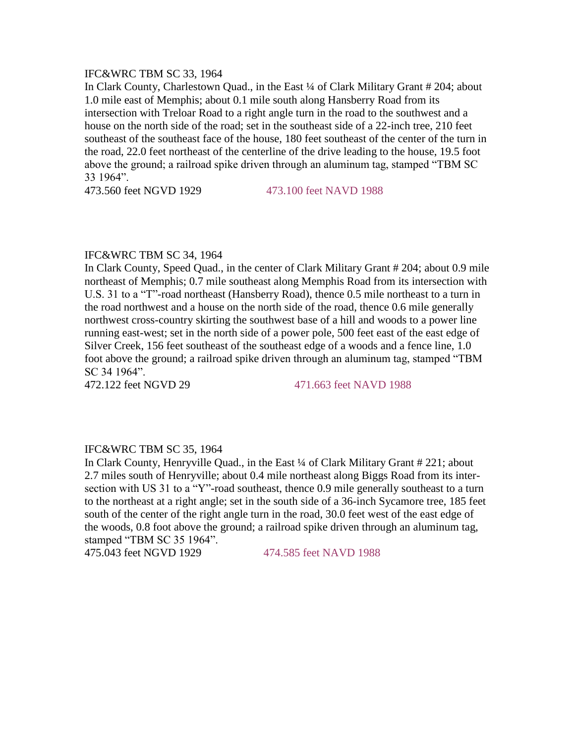# IFC&WRC TBM SC 33, 1964

In Clark County, Charlestown Quad., in the East ¼ of Clark Military Grant # 204; about 1.0 mile east of Memphis; about 0.1 mile south along Hansberry Road from its intersection with Treloar Road to a right angle turn in the road to the southwest and a house on the north side of the road; set in the southeast side of a 22-inch tree, 210 feet southeast of the southeast face of the house, 180 feet southeast of the center of the turn in the road, 22.0 feet northeast of the centerline of the drive leading to the house, 19.5 foot above the ground; a railroad spike driven through an aluminum tag, stamped "TBM SC 33 1964".

473.560 feet NGVD 1929 473.100 feet NAVD 1988

# IFC&WRC TBM SC 34, 1964

In Clark County, Speed Quad., in the center of Clark Military Grant # 204; about 0.9 mile northeast of Memphis; 0.7 mile southeast along Memphis Road from its intersection with U.S. 31 to a "T"-road northeast (Hansberry Road), thence 0.5 mile northeast to a turn in the road northwest and a house on the north side of the road, thence 0.6 mile generally northwest cross-country skirting the southwest base of a hill and woods to a power line running east-west; set in the north side of a power pole, 500 feet east of the east edge of Silver Creek, 156 feet southeast of the southeast edge of a woods and a fence line, 1.0 foot above the ground; a railroad spike driven through an aluminum tag, stamped "TBM SC 34 1964".

472.122 feet NGVD 29 471.663 feet NAVD 1988

# IFC&WRC TBM SC 35, 1964

In Clark County, Henryville Quad., in the East ¼ of Clark Military Grant # 221; about 2.7 miles south of Henryville; about 0.4 mile northeast along Biggs Road from its intersection with US 31 to a "Y"-road southeast, thence 0.9 mile generally southeast to a turn to the northeast at a right angle; set in the south side of a 36-inch Sycamore tree, 185 feet south of the center of the right angle turn in the road, 30.0 feet west of the east edge of the woods, 0.8 foot above the ground; a railroad spike driven through an aluminum tag, stamped "TBM SC 35 1964".

475.043 feet NGVD 1929 474.585 feet NAVD 1988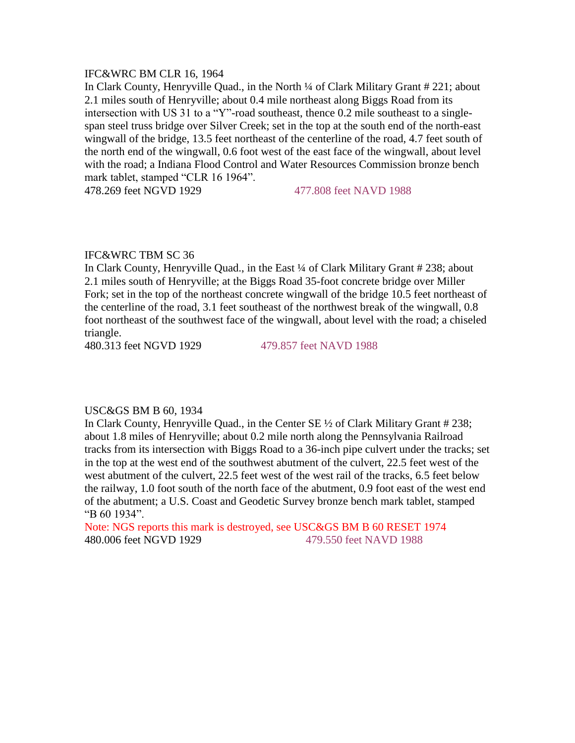#### IFC&WRC BM CLR 16, 1964

In Clark County, Henryville Quad., in the North ¼ of Clark Military Grant # 221; about 2.1 miles south of Henryville; about 0.4 mile northeast along Biggs Road from its intersection with US 31 to a "Y"-road southeast, thence 0.2 mile southeast to a singlespan steel truss bridge over Silver Creek; set in the top at the south end of the north-east wingwall of the bridge, 13.5 feet northeast of the centerline of the road, 4.7 feet south of the north end of the wingwall, 0.6 foot west of the east face of the wingwall, about level with the road; a Indiana Flood Control and Water Resources Commission bronze bench mark tablet, stamped "CLR 16 1964".

478.269 feet NGVD 1929 477.808 feet NAVD 1988

# IFC&WRC TBM SC 36

In Clark County, Henryville Quad., in the East ¼ of Clark Military Grant # 238; about 2.1 miles south of Henryville; at the Biggs Road 35-foot concrete bridge over Miller Fork; set in the top of the northeast concrete wingwall of the bridge 10.5 feet northeast of the centerline of the road, 3.1 feet southeast of the northwest break of the wingwall, 0.8 foot northeast of the southwest face of the wingwall, about level with the road; a chiseled triangle.

480.313 feet NGVD 1929 479.857 feet NAVD 1988

#### USC&GS BM B 60, 1934

In Clark County, Henryville Quad., in the Center SE ½ of Clark Military Grant # 238; about 1.8 miles of Henryville; about 0.2 mile north along the Pennsylvania Railroad tracks from its intersection with Biggs Road to a 36-inch pipe culvert under the tracks; set in the top at the west end of the southwest abutment of the culvert, 22.5 feet west of the west abutment of the culvert, 22.5 feet west of the west rail of the tracks, 6.5 feet below the railway, 1.0 foot south of the north face of the abutment, 0.9 foot east of the west end of the abutment; a U.S. Coast and Geodetic Survey bronze bench mark tablet, stamped "B 60 1934".

Note: NGS reports this mark is destroyed, see USC&GS BM B 60 RESET 1974 480.006 feet NGVD 1929 479.550 feet NAVD 1988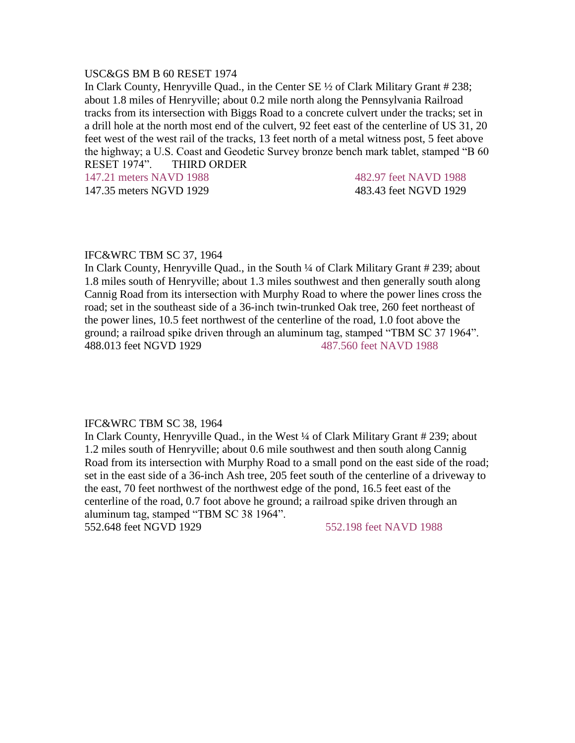#### USC&GS BM B 60 RESET 1974

In Clark County, Henryville Quad., in the Center SE ½ of Clark Military Grant # 238; about 1.8 miles of Henryville; about 0.2 mile north along the Pennsylvania Railroad tracks from its intersection with Biggs Road to a concrete culvert under the tracks; set in a drill hole at the north most end of the culvert, 92 feet east of the centerline of US 31, 20 feet west of the west rail of the tracks, 13 feet north of a metal witness post, 5 feet above the highway; a U.S. Coast and Geodetic Survey bronze bench mark tablet, stamped "B 60 RESET 1974". THIRD ORDER

147.21 meters NAVD 1988 482.97 feet NAVD 1988 147.35 meters NGVD 1929 483.43 feet NGVD 1929

#### IFC&WRC TBM SC 37, 1964

In Clark County, Henryville Quad., in the South ¼ of Clark Military Grant # 239; about 1.8 miles south of Henryville; about 1.3 miles southwest and then generally south along Cannig Road from its intersection with Murphy Road to where the power lines cross the road; set in the southeast side of a 36-inch twin-trunked Oak tree, 260 feet northeast of the power lines, 10.5 feet northwest of the centerline of the road, 1.0 foot above the ground; a railroad spike driven through an aluminum tag, stamped "TBM SC 37 1964". 488.013 feet NGVD 1929 487.560 feet NAVD 1988

#### IFC&WRC TBM SC 38, 1964

In Clark County, Henryville Quad., in the West ¼ of Clark Military Grant # 239; about 1.2 miles south of Henryville; about 0.6 mile southwest and then south along Cannig Road from its intersection with Murphy Road to a small pond on the east side of the road; set in the east side of a 36-inch Ash tree, 205 feet south of the centerline of a driveway to the east, 70 feet northwest of the northwest edge of the pond, 16.5 feet east of the centerline of the road, 0.7 foot above he ground; a railroad spike driven through an aluminum tag, stamped "TBM SC 38 1964".

552.648 feet NGVD 1929 552.198 feet NAVD 1988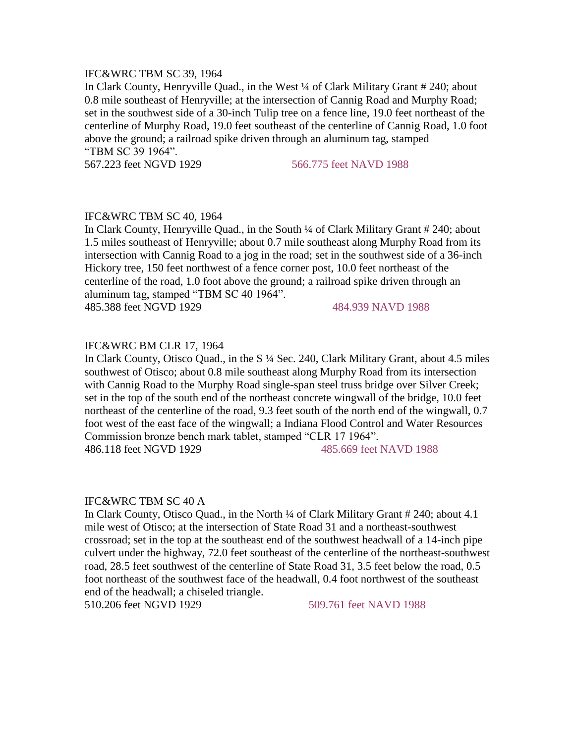# IFC&WRC TBM SC 39, 1964

In Clark County, Henryville Quad., in the West ¼ of Clark Military Grant # 240; about 0.8 mile southeast of Henryville; at the intersection of Cannig Road and Murphy Road; set in the southwest side of a 30-inch Tulip tree on a fence line, 19.0 feet northeast of the centerline of Murphy Road, 19.0 feet southeast of the centerline of Cannig Road, 1.0 foot above the ground; a railroad spike driven through an aluminum tag, stamped "TBM SC 39 1964".

567.223 feet NGVD 1929 566.775 feet NAVD 1988

# IFC&WRC TBM SC 40, 1964

In Clark County, Henryville Quad., in the South ¼ of Clark Military Grant # 240; about 1.5 miles southeast of Henryville; about 0.7 mile southeast along Murphy Road from its intersection with Cannig Road to a jog in the road; set in the southwest side of a 36-inch Hickory tree, 150 feet northwest of a fence corner post, 10.0 feet northeast of the centerline of the road, 1.0 foot above the ground; a railroad spike driven through an aluminum tag, stamped "TBM SC 40 1964".

485.388 feet NGVD 1929 484.939 NAVD 1988

# IFC&WRC BM CLR 17, 1964

In Clark County, Otisco Quad., in the S ¼ Sec. 240, Clark Military Grant, about 4.5 miles southwest of Otisco; about 0.8 mile southeast along Murphy Road from its intersection with Cannig Road to the Murphy Road single-span steel truss bridge over Silver Creek; set in the top of the south end of the northeast concrete wingwall of the bridge, 10.0 feet northeast of the centerline of the road, 9.3 feet south of the north end of the wingwall, 0.7 foot west of the east face of the wingwall; a Indiana Flood Control and Water Resources Commission bronze bench mark tablet, stamped "CLR 17 1964". 486.118 feet NGVD 1929 485.669 feet NAVD 1988

# IFC&WRC TBM SC 40 A

In Clark County, Otisco Quad., in the North ¼ of Clark Military Grant # 240; about 4.1 mile west of Otisco; at the intersection of State Road 31 and a northeast-southwest crossroad; set in the top at the southeast end of the southwest headwall of a 14-inch pipe culvert under the highway, 72.0 feet southeast of the centerline of the northeast-southwest road, 28.5 feet southwest of the centerline of State Road 31, 3.5 feet below the road, 0.5 foot northeast of the southwest face of the headwall, 0.4 foot northwest of the southeast end of the headwall; a chiseled triangle.

510.206 feet NGVD 1929 509.761 feet NAVD 1988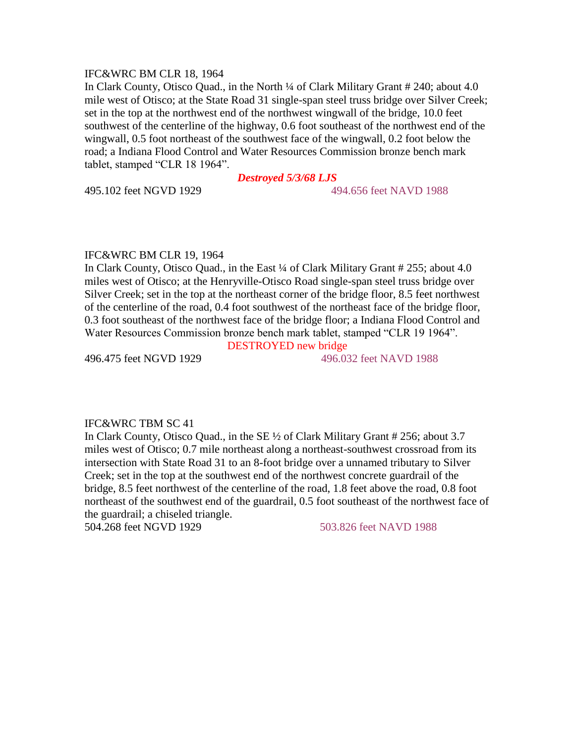#### IFC&WRC BM CLR 18, 1964

In Clark County, Otisco Quad., in the North ¼ of Clark Military Grant # 240; about 4.0 mile west of Otisco; at the State Road 31 single-span steel truss bridge over Silver Creek; set in the top at the northwest end of the northwest wingwall of the bridge, 10.0 feet southwest of the centerline of the highway, 0.6 foot southeast of the northwest end of the wingwall, 0.5 foot northeast of the southwest face of the wingwall, 0.2 foot below the road; a Indiana Flood Control and Water Resources Commission bronze bench mark tablet, stamped "CLR 18 1964".

# *Destroyed 5/3/68 LJS*

#### 495.102 feet NGVD 1929 494.656 feet NAVD 1988

#### IFC&WRC BM CLR 19, 1964

In Clark County, Otisco Quad., in the East ¼ of Clark Military Grant # 255; about 4.0 miles west of Otisco; at the Henryville-Otisco Road single-span steel truss bridge over Silver Creek; set in the top at the northeast corner of the bridge floor, 8.5 feet northwest of the centerline of the road, 0.4 foot southwest of the northeast face of the bridge floor, 0.3 foot southeast of the northwest face of the bridge floor; a Indiana Flood Control and Water Resources Commission bronze bench mark tablet, stamped "CLR 19 1964".

DESTROYED new bridge

496.475 feet NGVD 1929 496.032 feet NAVD 1988

# IFC&WRC TBM SC 41

In Clark County, Otisco Quad., in the SE ½ of Clark Military Grant # 256; about 3.7 miles west of Otisco; 0.7 mile northeast along a northeast-southwest crossroad from its intersection with State Road 31 to an 8-foot bridge over a unnamed tributary to Silver Creek; set in the top at the southwest end of the northwest concrete guardrail of the bridge, 8.5 feet northwest of the centerline of the road, 1.8 feet above the road, 0.8 foot northeast of the southwest end of the guardrail, 0.5 foot southeast of the northwest face of the guardrail; a chiseled triangle.

504.268 feet NGVD 1929 503.826 feet NAVD 1988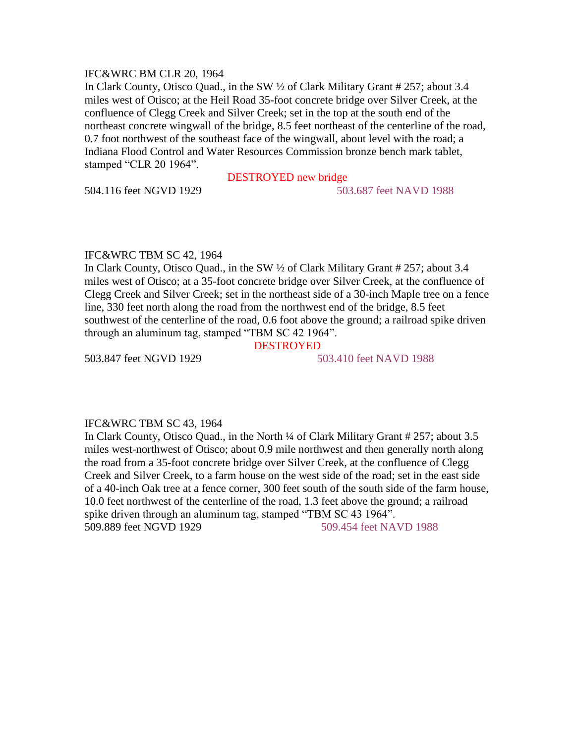#### IFC&WRC BM CLR 20, 1964

In Clark County, Otisco Quad., in the SW ½ of Clark Military Grant # 257; about 3.4 miles west of Otisco; at the Heil Road 35-foot concrete bridge over Silver Creek, at the confluence of Clegg Creek and Silver Creek; set in the top at the south end of the northeast concrete wingwall of the bridge, 8.5 feet northeast of the centerline of the road, 0.7 foot northwest of the southeast face of the wingwall, about level with the road; a Indiana Flood Control and Water Resources Commission bronze bench mark tablet, stamped "CLR 20 1964".

504.116 feet NGVD 1929 503.687 feet NAVD 1988

# DESTROYED new bridge

#### IFC&WRC TBM SC 42, 1964

In Clark County, Otisco Quad., in the SW ½ of Clark Military Grant # 257; about 3.4 miles west of Otisco; at a 35-foot concrete bridge over Silver Creek, at the confluence of Clegg Creek and Silver Creek; set in the northeast side of a 30-inch Maple tree on a fence line, 330 feet north along the road from the northwest end of the bridge, 8.5 feet southwest of the centerline of the road, 0.6 foot above the ground; a railroad spike driven through an aluminum tag, stamped "TBM SC 42 1964".

# DESTROYED

503.847 feet NGVD 1929 503.410 feet NAVD 1988

#### IFC&WRC TBM SC 43, 1964

In Clark County, Otisco Quad., in the North ¼ of Clark Military Grant # 257; about 3.5 miles west-northwest of Otisco; about 0.9 mile northwest and then generally north along the road from a 35-foot concrete bridge over Silver Creek, at the confluence of Clegg Creek and Silver Creek, to a farm house on the west side of the road; set in the east side of a 40-inch Oak tree at a fence corner, 300 feet south of the south side of the farm house, 10.0 feet northwest of the centerline of the road, 1.3 feet above the ground; a railroad spike driven through an aluminum tag, stamped "TBM SC 43 1964". 509.889 feet NGVD 1929 509.454 feet NAVD 1988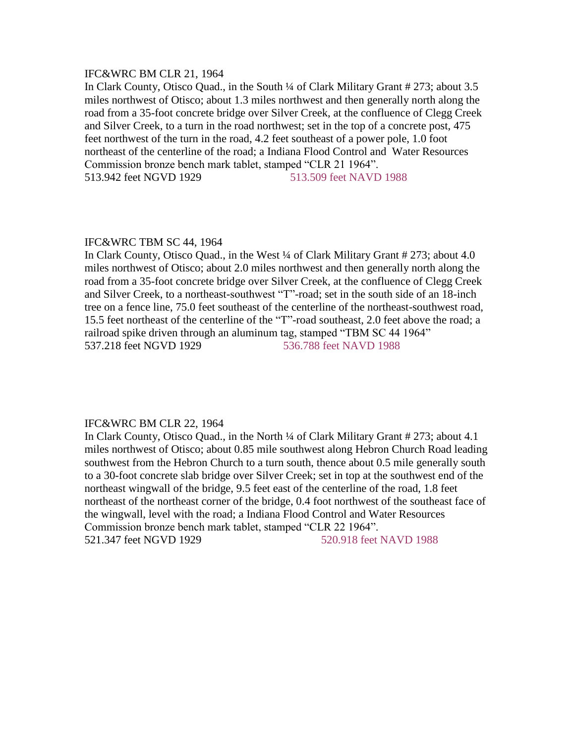#### IFC&WRC BM CLR 21, 1964

In Clark County, Otisco Quad., in the South ¼ of Clark Military Grant # 273; about 3.5 miles northwest of Otisco; about 1.3 miles northwest and then generally north along the road from a 35-foot concrete bridge over Silver Creek, at the confluence of Clegg Creek and Silver Creek, to a turn in the road northwest; set in the top of a concrete post, 475 feet northwest of the turn in the road, 4.2 feet southeast of a power pole, 1.0 foot northeast of the centerline of the road; a Indiana Flood Control and Water Resources Commission bronze bench mark tablet, stamped "CLR 21 1964". 513.942 feet NGVD 1929 513.509 feet NAVD 1988

## IFC&WRC TBM SC 44, 1964

In Clark County, Otisco Quad., in the West ¼ of Clark Military Grant # 273; about 4.0 miles northwest of Otisco; about 2.0 miles northwest and then generally north along the road from a 35-foot concrete bridge over Silver Creek, at the confluence of Clegg Creek and Silver Creek, to a northeast-southwest "T"-road; set in the south side of an 18-inch tree on a fence line, 75.0 feet southeast of the centerline of the northeast-southwest road, 15.5 feet northeast of the centerline of the "T"-road southeast, 2.0 feet above the road; a railroad spike driven through an aluminum tag, stamped "TBM SC 44 1964" 537.218 feet NGVD 1929 536.788 feet NAVD 1988

#### IFC&WRC BM CLR 22, 1964

In Clark County, Otisco Quad., in the North ¼ of Clark Military Grant # 273; about 4.1 miles northwest of Otisco; about 0.85 mile southwest along Hebron Church Road leading southwest from the Hebron Church to a turn south, thence about 0.5 mile generally south to a 30-foot concrete slab bridge over Silver Creek; set in top at the southwest end of the northeast wingwall of the bridge, 9.5 feet east of the centerline of the road, 1.8 feet northeast of the northeast corner of the bridge, 0.4 foot northwest of the southeast face of the wingwall, level with the road; a Indiana Flood Control and Water Resources Commission bronze bench mark tablet, stamped "CLR 22 1964". 521.347 feet NGVD 1929 520.918 feet NAVD 1988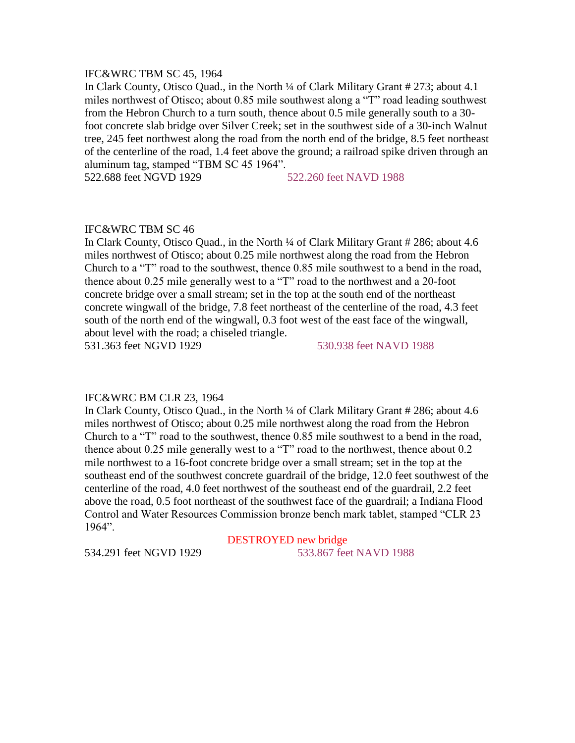# IFC&WRC TBM SC 45, 1964

In Clark County, Otisco Quad., in the North ¼ of Clark Military Grant # 273; about 4.1 miles northwest of Otisco; about 0.85 mile southwest along a "T" road leading southwest from the Hebron Church to a turn south, thence about 0.5 mile generally south to a 30 foot concrete slab bridge over Silver Creek; set in the southwest side of a 30-inch Walnut tree, 245 feet northwest along the road from the north end of the bridge, 8.5 feet northeast of the centerline of the road, 1.4 feet above the ground; a railroad spike driven through an aluminum tag, stamped "TBM SC 45 1964".

522.688 feet NGVD 1929 522.260 feet NAVD 1988

#### IFC&WRC TBM SC 46

In Clark County, Otisco Quad., in the North ¼ of Clark Military Grant # 286; about 4.6 miles northwest of Otisco; about 0.25 mile northwest along the road from the Hebron Church to a "T" road to the southwest, thence 0.85 mile southwest to a bend in the road, thence about 0.25 mile generally west to a "T" road to the northwest and a 20-foot concrete bridge over a small stream; set in the top at the south end of the northeast concrete wingwall of the bridge, 7.8 feet northeast of the centerline of the road, 4.3 feet south of the north end of the wingwall, 0.3 foot west of the east face of the wingwall, about level with the road; a chiseled triangle.

531.363 feet NGVD 1929 530.938 feet NAVD 1988

#### IFC&WRC BM CLR 23, 1964

In Clark County, Otisco Quad., in the North ¼ of Clark Military Grant # 286; about 4.6 miles northwest of Otisco; about 0.25 mile northwest along the road from the Hebron Church to a "T" road to the southwest, thence 0.85 mile southwest to a bend in the road, thence about 0.25 mile generally west to a "T" road to the northwest, thence about 0.2 mile northwest to a 16-foot concrete bridge over a small stream; set in the top at the southeast end of the southwest concrete guardrail of the bridge, 12.0 feet southwest of the centerline of the road, 4.0 feet northwest of the southeast end of the guardrail, 2.2 feet above the road, 0.5 foot northeast of the southwest face of the guardrail; a Indiana Flood Control and Water Resources Commission bronze bench mark tablet, stamped "CLR 23 1964".

DESTROYED new bridge 534.291 feet NGVD 1929 533.867 feet NAVD 1988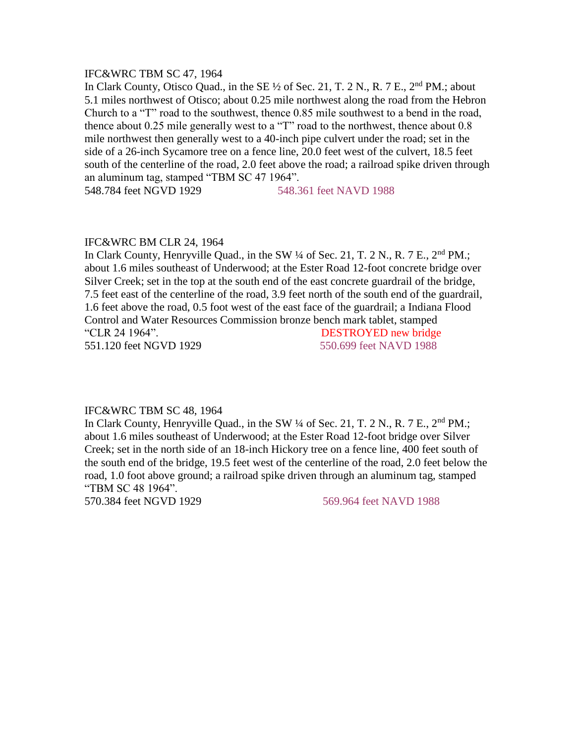#### IFC&WRC TBM SC 47, 1964

In Clark County, Otisco Quad., in the SE  $\frac{1}{2}$  of Sec. 21, T. 2 N., R. 7 E., 2<sup>nd</sup> PM.; about 5.1 miles northwest of Otisco; about 0.25 mile northwest along the road from the Hebron Church to a "T" road to the southwest, thence 0.85 mile southwest to a bend in the road, thence about 0.25 mile generally west to a "T" road to the northwest, thence about 0.8 mile northwest then generally west to a 40-inch pipe culvert under the road; set in the side of a 26-inch Sycamore tree on a fence line, 20.0 feet west of the culvert, 18.5 feet south of the centerline of the road, 2.0 feet above the road; a railroad spike driven through an aluminum tag, stamped "TBM SC 47 1964".

548.784 feet NGVD 1929 548.361 feet NAVD 1988

# IFC&WRC BM CLR 24, 1964

In Clark County, Henryville Quad., in the SW  $\frac{1}{4}$  of Sec. 21, T. 2 N., R. 7 E.,  $2^{nd}$  PM.; about 1.6 miles southeast of Underwood; at the Ester Road 12-foot concrete bridge over Silver Creek; set in the top at the south end of the east concrete guardrail of the bridge, 7.5 feet east of the centerline of the road, 3.9 feet north of the south end of the guardrail, 1.6 feet above the road, 0.5 foot west of the east face of the guardrail; a Indiana Flood Control and Water Resources Commission bronze bench mark tablet, stamped "CLR 24 1964". DESTROYED new bridge

551.120 feet NGVD 1929 550.699 feet NAVD 1988

#### IFC&WRC TBM SC 48, 1964

In Clark County, Henryville Quad., in the SW  $\frac{1}{4}$  of Sec. 21, T. 2 N., R. 7 E.,  $2^{nd}$  PM.; about 1.6 miles southeast of Underwood; at the Ester Road 12-foot bridge over Silver Creek; set in the north side of an 18-inch Hickory tree on a fence line, 400 feet south of the south end of the bridge, 19.5 feet west of the centerline of the road, 2.0 feet below the road, 1.0 foot above ground; a railroad spike driven through an aluminum tag, stamped "TBM SC 48 1964".

570.384 feet NGVD 1929 569.964 feet NAVD 1988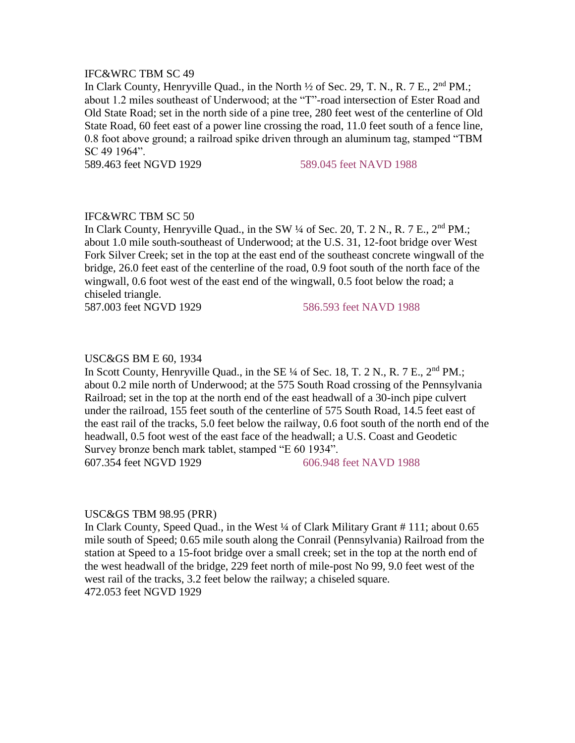# IFC&WRC TBM SC 49

In Clark County, Henryville Quad., in the North  $\frac{1}{2}$  of Sec. 29, T. N., R. 7 E.,  $2^{nd}$  PM.; about 1.2 miles southeast of Underwood; at the "T"-road intersection of Ester Road and Old State Road; set in the north side of a pine tree, 280 feet west of the centerline of Old State Road, 60 feet east of a power line crossing the road, 11.0 feet south of a fence line, 0.8 foot above ground; a railroad spike driven through an aluminum tag, stamped "TBM SC 49 1964".

589.463 feet NGVD 1929 589.045 feet NAVD 1988

# IFC&WRC TBM SC 50

In Clark County, Henryville Quad., in the SW  $\frac{1}{4}$  of Sec. 20, T. 2 N., R. 7 E.,  $2<sup>nd</sup> PM$ .; about 1.0 mile south-southeast of Underwood; at the U.S. 31, 12-foot bridge over West Fork Silver Creek; set in the top at the east end of the southeast concrete wingwall of the bridge, 26.0 feet east of the centerline of the road, 0.9 foot south of the north face of the wingwall, 0.6 foot west of the east end of the wingwall, 0.5 foot below the road; a chiseled triangle.

587.003 feet NGVD 1929 586.593 feet NAVD 1988

#### USC&GS BM E 60, 1934

In Scott County, Henryville Quad., in the SE  $\frac{1}{4}$  of Sec. 18, T. 2 N., R. 7 E.,  $2<sup>nd</sup>$  PM.; about 0.2 mile north of Underwood; at the 575 South Road crossing of the Pennsylvania Railroad; set in the top at the north end of the east headwall of a 30-inch pipe culvert under the railroad, 155 feet south of the centerline of 575 South Road, 14.5 feet east of the east rail of the tracks, 5.0 feet below the railway, 0.6 foot south of the north end of the headwall, 0.5 foot west of the east face of the headwall; a U.S. Coast and Geodetic Survey bronze bench mark tablet, stamped "E 60 1934". 607.354 feet NGVD 1929 606.948 feet NAVD 1988

#### USC&GS TBM 98.95 (PRR)

In Clark County, Speed Quad., in the West <sup>1/4</sup> of Clark Military Grant # 111; about 0.65 mile south of Speed; 0.65 mile south along the Conrail (Pennsylvania) Railroad from the station at Speed to a 15-foot bridge over a small creek; set in the top at the north end of the west headwall of the bridge, 229 feet north of mile-post No 99, 9.0 feet west of the west rail of the tracks, 3.2 feet below the railway; a chiseled square. 472.053 feet NGVD 1929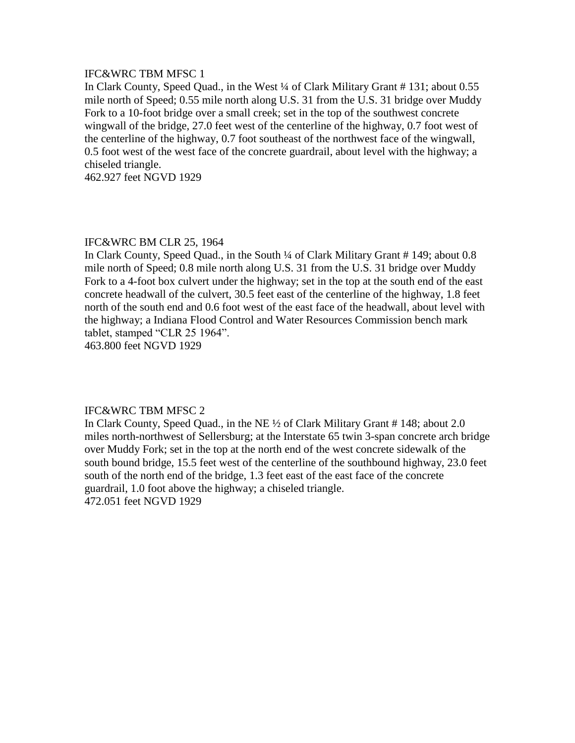# IFC&WRC TBM MFSC 1

In Clark County, Speed Quad., in the West ¼ of Clark Military Grant # 131; about 0.55 mile north of Speed; 0.55 mile north along U.S. 31 from the U.S. 31 bridge over Muddy Fork to a 10-foot bridge over a small creek; set in the top of the southwest concrete wingwall of the bridge, 27.0 feet west of the centerline of the highway, 0.7 foot west of the centerline of the highway, 0.7 foot southeast of the northwest face of the wingwall, 0.5 foot west of the west face of the concrete guardrail, about level with the highway; a chiseled triangle.

462.927 feet NGVD 1929

# IFC&WRC BM CLR 25, 1964

In Clark County, Speed Quad., in the South ¼ of Clark Military Grant # 149; about 0.8 mile north of Speed; 0.8 mile north along U.S. 31 from the U.S. 31 bridge over Muddy Fork to a 4-foot box culvert under the highway; set in the top at the south end of the east concrete headwall of the culvert, 30.5 feet east of the centerline of the highway, 1.8 feet north of the south end and 0.6 foot west of the east face of the headwall, about level with the highway; a Indiana Flood Control and Water Resources Commission bench mark tablet, stamped "CLR 25 1964".

463.800 feet NGVD 1929

# IFC&WRC TBM MFSC 2

In Clark County, Speed Quad., in the NE ½ of Clark Military Grant # 148; about 2.0 miles north-northwest of Sellersburg; at the Interstate 65 twin 3-span concrete arch bridge over Muddy Fork; set in the top at the north end of the west concrete sidewalk of the south bound bridge, 15.5 feet west of the centerline of the southbound highway, 23.0 feet south of the north end of the bridge, 1.3 feet east of the east face of the concrete guardrail, 1.0 foot above the highway; a chiseled triangle. 472.051 feet NGVD 1929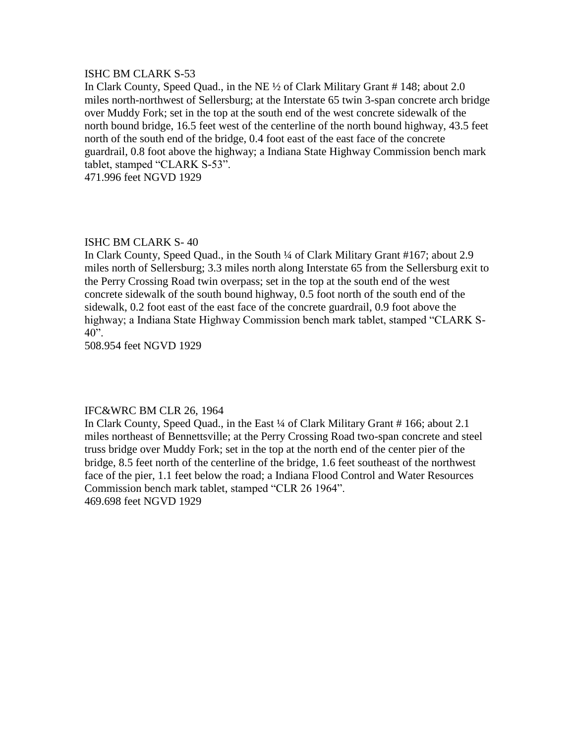### ISHC BM CLARK S-53

In Clark County, Speed Quad., in the NE ½ of Clark Military Grant # 148; about 2.0 miles north-northwest of Sellersburg; at the Interstate 65 twin 3-span concrete arch bridge over Muddy Fork; set in the top at the south end of the west concrete sidewalk of the north bound bridge, 16.5 feet west of the centerline of the north bound highway, 43.5 feet north of the south end of the bridge, 0.4 foot east of the east face of the concrete guardrail, 0.8 foot above the highway; a Indiana State Highway Commission bench mark tablet, stamped "CLARK S-53". 471.996 feet NGVD 1929

ISHC BM CLARK S- 40

In Clark County, Speed Quad., in the South ¼ of Clark Military Grant #167; about 2.9 miles north of Sellersburg; 3.3 miles north along Interstate 65 from the Sellersburg exit to the Perry Crossing Road twin overpass; set in the top at the south end of the west concrete sidewalk of the south bound highway, 0.5 foot north of the south end of the sidewalk, 0.2 foot east of the east face of the concrete guardrail, 0.9 foot above the highway; a Indiana State Highway Commission bench mark tablet, stamped "CLARK S- $40$ ".

508.954 feet NGVD 1929

# IFC&WRC BM CLR 26, 1964

In Clark County, Speed Quad., in the East ¼ of Clark Military Grant # 166; about 2.1 miles northeast of Bennettsville; at the Perry Crossing Road two-span concrete and steel truss bridge over Muddy Fork; set in the top at the north end of the center pier of the bridge, 8.5 feet north of the centerline of the bridge, 1.6 feet southeast of the northwest face of the pier, 1.1 feet below the road; a Indiana Flood Control and Water Resources Commission bench mark tablet, stamped "CLR 26 1964". 469.698 feet NGVD 1929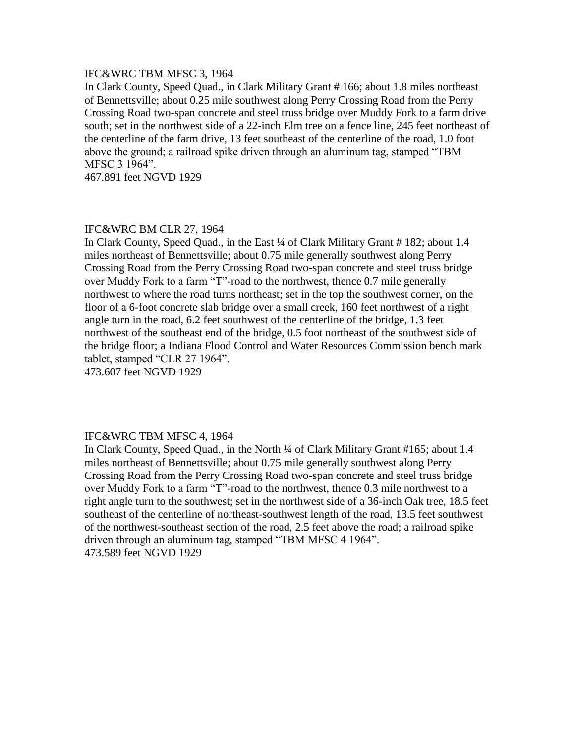# IFC&WRC TBM MFSC 3, 1964

In Clark County, Speed Quad., in Clark Military Grant # 166; about 1.8 miles northeast of Bennettsville; about 0.25 mile southwest along Perry Crossing Road from the Perry Crossing Road two-span concrete and steel truss bridge over Muddy Fork to a farm drive south; set in the northwest side of a 22-inch Elm tree on a fence line, 245 feet northeast of the centerline of the farm drive, 13 feet southeast of the centerline of the road, 1.0 foot above the ground; a railroad spike driven through an aluminum tag, stamped "TBM MFSC 3 1964".

467.891 feet NGVD 1929

### IFC&WRC BM CLR 27, 1964

In Clark County, Speed Quad., in the East ¼ of Clark Military Grant # 182; about 1.4 miles northeast of Bennettsville; about 0.75 mile generally southwest along Perry Crossing Road from the Perry Crossing Road two-span concrete and steel truss bridge over Muddy Fork to a farm "T"-road to the northwest, thence 0.7 mile generally northwest to where the road turns northeast; set in the top the southwest corner, on the floor of a 6-foot concrete slab bridge over a small creek, 160 feet northwest of a right angle turn in the road, 6.2 feet southwest of the centerline of the bridge, 1.3 feet northwest of the southeast end of the bridge, 0.5 foot northeast of the southwest side of the bridge floor; a Indiana Flood Control and Water Resources Commission bench mark tablet, stamped "CLR 27 1964".

473.607 feet NGVD 1929

#### IFC&WRC TBM MFSC 4, 1964

In Clark County, Speed Quad., in the North ¼ of Clark Military Grant #165; about 1.4 miles northeast of Bennettsville; about 0.75 mile generally southwest along Perry Crossing Road from the Perry Crossing Road two-span concrete and steel truss bridge over Muddy Fork to a farm "T"-road to the northwest, thence 0.3 mile northwest to a right angle turn to the southwest; set in the northwest side of a 36-inch Oak tree, 18.5 feet southeast of the centerline of northeast-southwest length of the road, 13.5 feet southwest of the northwest-southeast section of the road, 2.5 feet above the road; a railroad spike driven through an aluminum tag, stamped "TBM MFSC 4 1964". 473.589 feet NGVD 1929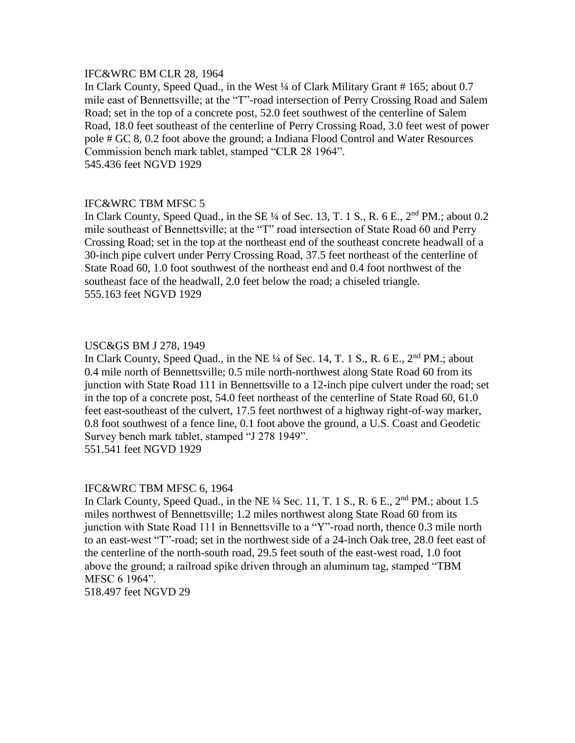### IFC&WRC BM CLR 28, 1964

In Clark County, Speed Quad., in the West ¼ of Clark Military Grant # 165; about 0.7 mile east of Bennettsville; at the "T"-road intersection of Perry Crossing Road and Salem Road; set in the top of a concrete post, 52.0 feet southwest of the centerline of Salem Road, 18.0 feet southeast of the centerline of Perry Crossing Road, 3.0 feet west of power pole # GC 8, 0.2 foot above the ground; a Indiana Flood Control and Water Resources Commission bench mark tablet, stamped "CLR 28 1964". 545.436 feet NGVD 1929

# IFC&WRC TBM MFSC 5

In Clark County, Speed Quad., in the SE  $\frac{1}{4}$  of Sec. 13, T. 1 S., R. 6 E.,  $2^{nd}$  PM.; about 0.2 mile southeast of Bennettsville; at the "T" road intersection of State Road 60 and Perry Crossing Road; set in the top at the northeast end of the southeast concrete headwall of a 30-inch pipe culvert under Perry Crossing Road, 37.5 feet northeast of the centerline of State Road 60, 1.0 foot southwest of the northeast end and 0.4 foot northwest of the southeast face of the headwall, 2.0 feet below the road; a chiseled triangle. 555.163 feet NGVD 1929

# USC&GS BM J 278, 1949

In Clark County, Speed Quad., in the NE  $\frac{1}{4}$  of Sec. 14, T. 1 S., R. 6 E.,  $2<sup>nd</sup>$  PM.; about 0.4 mile north of Bennettsville; 0.5 mile north-northwest along State Road 60 from its junction with State Road 111 in Bennettsville to a 12-inch pipe culvert under the road; set in the top of a concrete post, 54.0 feet northeast of the centerline of State Road 60, 61.0 feet east-southeast of the culvert, 17.5 feet northwest of a highway right-of-way marker, 0.8 foot southwest of a fence line, 0.1 foot above the ground, a U.S. Coast and Geodetic Survey bench mark tablet, stamped "J 278 1949". 551.541 feet NGVD 1929

#### IFC&WRC TBM MFSC 6, 1964

In Clark County, Speed Quad., in the NE ¼ Sec. 11, T. 1 S., R. 6 E., 2<sup>nd</sup> PM.; about 1.5 miles northwest of Bennettsville; 1.2 miles northwest along State Road 60 from its junction with State Road 111 in Bennettsville to a "Y"-road north, thence 0.3 mile north to an east-west "T"-road; set in the northwest side of a 24-inch Oak tree, 28.0 feet east of the centerline of the north-south road, 29.5 feet south of the east-west road, 1.0 foot above the ground; a railroad spike driven through an aluminum tag, stamped "TBM MFSC 6 1964".

518.497 feet NGVD 29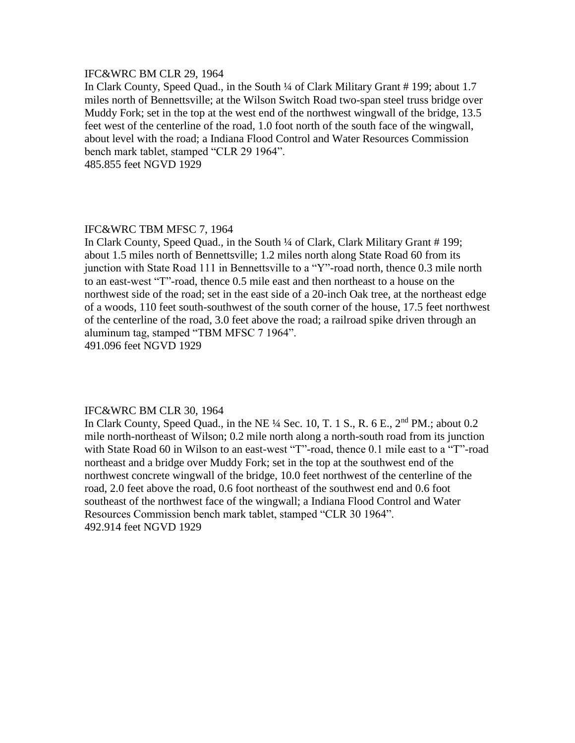#### IFC&WRC BM CLR 29, 1964

In Clark County, Speed Quad., in the South ¼ of Clark Military Grant # 199; about 1.7 miles north of Bennettsville; at the Wilson Switch Road two-span steel truss bridge over Muddy Fork; set in the top at the west end of the northwest wingwall of the bridge, 13.5 feet west of the centerline of the road, 1.0 foot north of the south face of the wingwall, about level with the road; a Indiana Flood Control and Water Resources Commission bench mark tablet, stamped "CLR 29 1964".

485.855 feet NGVD 1929

#### IFC&WRC TBM MFSC 7, 1964

In Clark County, Speed Quad., in the South ¼ of Clark, Clark Military Grant # 199; about 1.5 miles north of Bennettsville; 1.2 miles north along State Road 60 from its junction with State Road 111 in Bennettsville to a "Y"-road north, thence 0.3 mile north to an east-west "T"-road, thence 0.5 mile east and then northeast to a house on the northwest side of the road; set in the east side of a 20-inch Oak tree, at the northeast edge of a woods, 110 feet south-southwest of the south corner of the house, 17.5 feet northwest of the centerline of the road, 3.0 feet above the road; a railroad spike driven through an aluminum tag, stamped "TBM MFSC 7 1964".

491.096 feet NGVD 1929

#### IFC&WRC BM CLR 30, 1964

In Clark County, Speed Quad., in the NE ¼ Sec. 10, T. 1 S., R. 6 E., 2<sup>nd</sup> PM.; about 0.2 mile north-northeast of Wilson; 0.2 mile north along a north-south road from its junction with State Road 60 in Wilson to an east-west "T"-road, thence 0.1 mile east to a "T"-road northeast and a bridge over Muddy Fork; set in the top at the southwest end of the northwest concrete wingwall of the bridge, 10.0 feet northwest of the centerline of the road, 2.0 feet above the road, 0.6 foot northeast of the southwest end and 0.6 foot southeast of the northwest face of the wingwall; a Indiana Flood Control and Water Resources Commission bench mark tablet, stamped "CLR 30 1964". 492.914 feet NGVD 1929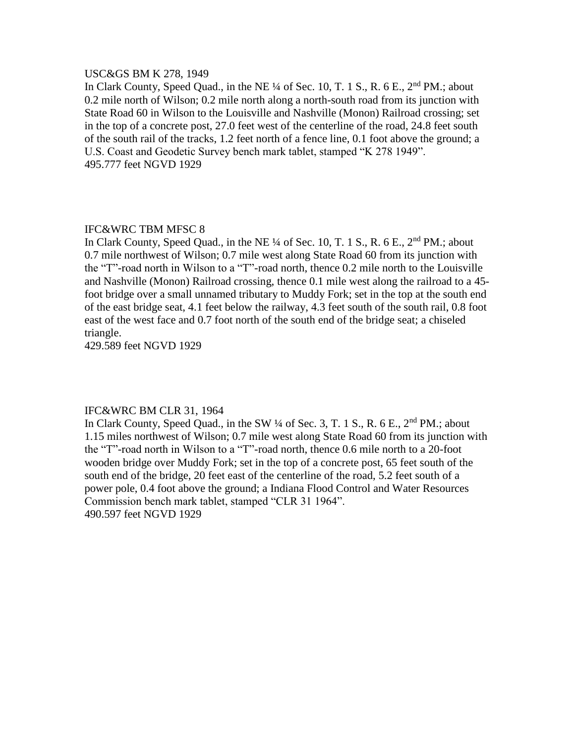#### USC&GS BM K 278, 1949

In Clark County, Speed Quad., in the NE ¼ of Sec. 10, T. 1 S., R. 6 E., 2<sup>nd</sup> PM.; about 0.2 mile north of Wilson; 0.2 mile north along a north-south road from its junction with State Road 60 in Wilson to the Louisville and Nashville (Monon) Railroad crossing; set in the top of a concrete post, 27.0 feet west of the centerline of the road, 24.8 feet south of the south rail of the tracks, 1.2 feet north of a fence line, 0.1 foot above the ground; a U.S. Coast and Geodetic Survey bench mark tablet, stamped "K 278 1949". 495.777 feet NGVD 1929

#### IFC&WRC TBM MFSC 8

In Clark County, Speed Quad., in the NE  $\frac{1}{4}$  of Sec. 10, T. 1 S., R. 6 E.,  $2<sup>nd</sup>$  PM.; about 0.7 mile northwest of Wilson; 0.7 mile west along State Road 60 from its junction with the "T"-road north in Wilson to a "T"-road north, thence 0.2 mile north to the Louisville and Nashville (Monon) Railroad crossing, thence 0.1 mile west along the railroad to a 45 foot bridge over a small unnamed tributary to Muddy Fork; set in the top at the south end of the east bridge seat, 4.1 feet below the railway, 4.3 feet south of the south rail, 0.8 foot east of the west face and 0.7 foot north of the south end of the bridge seat; a chiseled triangle.

429.589 feet NGVD 1929

#### IFC&WRC BM CLR 31, 1964

In Clark County, Speed Quad., in the SW 1/4 of Sec. 3, T. 1 S., R. 6 E., 2<sup>nd</sup> PM.: about 1.15 miles northwest of Wilson; 0.7 mile west along State Road 60 from its junction with the "T"-road north in Wilson to a "T"-road north, thence 0.6 mile north to a 20-foot wooden bridge over Muddy Fork; set in the top of a concrete post, 65 feet south of the south end of the bridge, 20 feet east of the centerline of the road, 5.2 feet south of a power pole, 0.4 foot above the ground; a Indiana Flood Control and Water Resources Commission bench mark tablet, stamped "CLR 31 1964". 490.597 feet NGVD 1929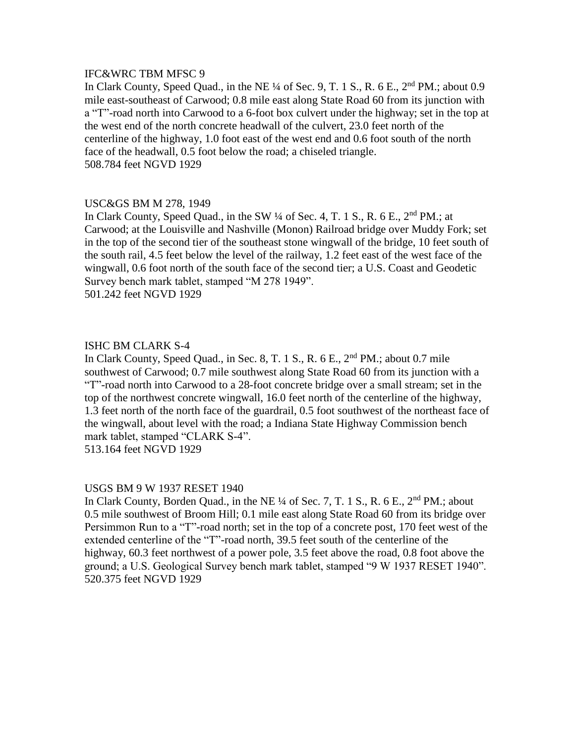# IFC&WRC TBM MFSC 9

In Clark County, Speed Quad., in the NE  $\frac{1}{4}$  of Sec. 9, T. 1 S., R. 6 E.,  $2^{nd}$  PM.; about 0.9 mile east-southeast of Carwood; 0.8 mile east along State Road 60 from its junction with a "T"-road north into Carwood to a 6-foot box culvert under the highway; set in the top at the west end of the north concrete headwall of the culvert, 23.0 feet north of the centerline of the highway, 1.0 foot east of the west end and 0.6 foot south of the north face of the headwall, 0.5 foot below the road; a chiseled triangle. 508.784 feet NGVD 1929

# USC&GS BM M 278, 1949

In Clark County, Speed Quad., in the SW  $\frac{1}{4}$  of Sec. 4, T. 1 S., R. 6 E.,  $2<sup>nd</sup>$  PM.; at Carwood; at the Louisville and Nashville (Monon) Railroad bridge over Muddy Fork; set in the top of the second tier of the southeast stone wingwall of the bridge, 10 feet south of the south rail, 4.5 feet below the level of the railway, 1.2 feet east of the west face of the wingwall, 0.6 foot north of the south face of the second tier; a U.S. Coast and Geodetic Survey bench mark tablet, stamped "M 278 1949". 501.242 feet NGVD 1929

# ISHC BM CLARK S-4

In Clark County, Speed Quad., in Sec. 8, T. 1 S., R. 6 E., 2nd PM.; about 0.7 mile southwest of Carwood; 0.7 mile southwest along State Road 60 from its junction with a "T"-road north into Carwood to a 28-foot concrete bridge over a small stream; set in the top of the northwest concrete wingwall, 16.0 feet north of the centerline of the highway, 1.3 feet north of the north face of the guardrail, 0.5 foot southwest of the northeast face of the wingwall, about level with the road; a Indiana State Highway Commission bench mark tablet, stamped "CLARK S-4". 513.164 feet NGVD 1929

#### USGS BM 9 W 1937 RESET 1940

In Clark County, Borden Quad., in the NE <sup>1/4</sup> of Sec. 7, T. 1 S., R. 6 E., 2<sup>nd</sup> PM.; about 0.5 mile southwest of Broom Hill; 0.1 mile east along State Road 60 from its bridge over Persimmon Run to a "T"-road north; set in the top of a concrete post, 170 feet west of the extended centerline of the "T"-road north, 39.5 feet south of the centerline of the highway, 60.3 feet northwest of a power pole, 3.5 feet above the road, 0.8 foot above the ground; a U.S. Geological Survey bench mark tablet, stamped "9 W 1937 RESET 1940". 520.375 feet NGVD 1929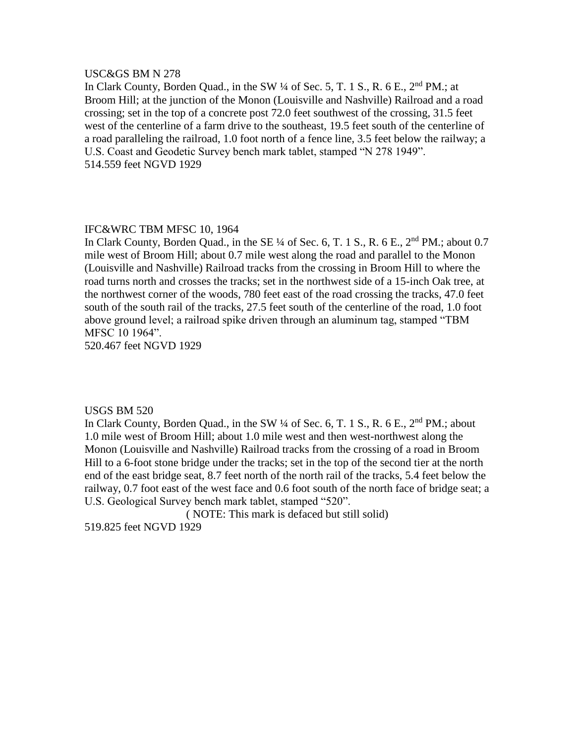#### USC&GS BM N 278

In Clark County, Borden Quad., in the SW 1/4 of Sec. 5, T. 1 S., R. 6 E., 2<sup>nd</sup> PM.; at Broom Hill; at the junction of the Monon (Louisville and Nashville) Railroad and a road crossing; set in the top of a concrete post 72.0 feet southwest of the crossing, 31.5 feet west of the centerline of a farm drive to the southeast, 19.5 feet south of the centerline of a road paralleling the railroad, 1.0 foot north of a fence line, 3.5 feet below the railway; a U.S. Coast and Geodetic Survey bench mark tablet, stamped "N 278 1949". 514.559 feet NGVD 1929

#### IFC&WRC TBM MFSC 10, 1964

In Clark County, Borden Quad., in the SE  $\frac{1}{4}$  of Sec. 6, T. 1 S., R. 6 E.,  $2<sup>nd</sup> PM$ .; about 0.7 mile west of Broom Hill; about 0.7 mile west along the road and parallel to the Monon (Louisville and Nashville) Railroad tracks from the crossing in Broom Hill to where the road turns north and crosses the tracks; set in the northwest side of a 15-inch Oak tree, at the northwest corner of the woods, 780 feet east of the road crossing the tracks, 47.0 feet south of the south rail of the tracks, 27.5 feet south of the centerline of the road, 1.0 foot above ground level; a railroad spike driven through an aluminum tag, stamped "TBM MFSC 10 1964".

520.467 feet NGVD 1929

#### USGS BM 520

In Clark County, Borden Quad., in the SW  $\frac{1}{4}$  of Sec. 6, T. 1 S., R. 6 E.,  $2^{nd}$  PM.; about 1.0 mile west of Broom Hill; about 1.0 mile west and then west-northwest along the Monon (Louisville and Nashville) Railroad tracks from the crossing of a road in Broom Hill to a 6-foot stone bridge under the tracks; set in the top of the second tier at the north end of the east bridge seat, 8.7 feet north of the north rail of the tracks, 5.4 feet below the railway, 0.7 foot east of the west face and 0.6 foot south of the north face of bridge seat; a U.S. Geological Survey bench mark tablet, stamped "520".

( NOTE: This mark is defaced but still solid) 519.825 feet NGVD 1929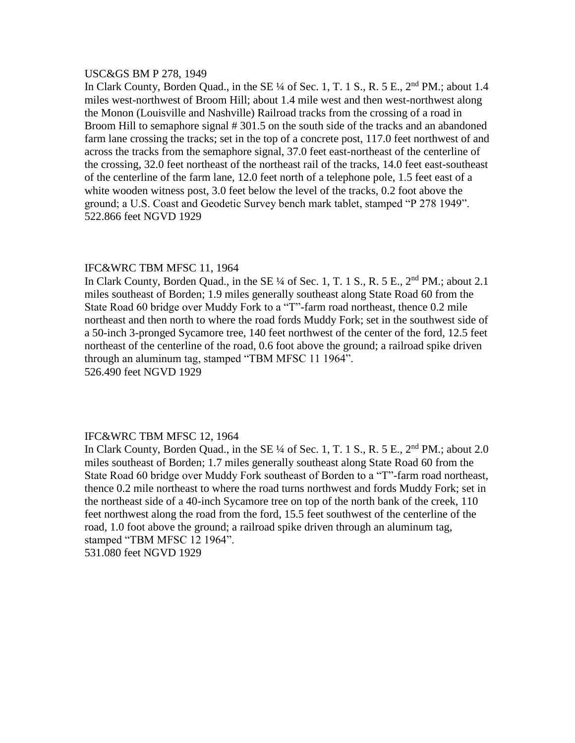#### USC&GS BM P 278, 1949

In Clark County, Borden Quad., in the SE  $\frac{1}{4}$  of Sec. 1, T. 1 S., R. 5 E.,  $2^{nd}$  PM.; about 1.4 miles west-northwest of Broom Hill; about 1.4 mile west and then west-northwest along the Monon (Louisville and Nashville) Railroad tracks from the crossing of a road in Broom Hill to semaphore signal # 301.5 on the south side of the tracks and an abandoned farm lane crossing the tracks; set in the top of a concrete post, 117.0 feet northwest of and across the tracks from the semaphore signal, 37.0 feet east-northeast of the centerline of the crossing, 32.0 feet northeast of the northeast rail of the tracks, 14.0 feet east-southeast of the centerline of the farm lane, 12.0 feet north of a telephone pole, 1.5 feet east of a white wooden witness post, 3.0 feet below the level of the tracks, 0.2 foot above the ground; a U.S. Coast and Geodetic Survey bench mark tablet, stamped "P 278 1949". 522.866 feet NGVD 1929

#### IFC&WRC TBM MFSC 11, 1964

In Clark County, Borden Quad., in the SE  $\frac{1}{4}$  of Sec. 1, T. 1 S., R. 5 E.,  $2<sup>nd</sup> PM$ .; about 2.1 miles southeast of Borden; 1.9 miles generally southeast along State Road 60 from the State Road 60 bridge over Muddy Fork to a "T"-farm road northeast, thence 0.2 mile northeast and then north to where the road fords Muddy Fork; set in the southwest side of a 50-inch 3-pronged Sycamore tree, 140 feet northwest of the center of the ford, 12.5 feet northeast of the centerline of the road, 0.6 foot above the ground; a railroad spike driven through an aluminum tag, stamped "TBM MFSC 11 1964". 526.490 feet NGVD 1929

#### IFC&WRC TBM MFSC 12, 1964

In Clark County, Borden Quad., in the SE ¼ of Sec. 1, T. 1 S., R. 5 E., 2<sup>nd</sup> PM.; about 2.0 miles southeast of Borden; 1.7 miles generally southeast along State Road 60 from the State Road 60 bridge over Muddy Fork southeast of Borden to a "T"-farm road northeast, thence 0.2 mile northeast to where the road turns northwest and fords Muddy Fork; set in the northeast side of a 40-inch Sycamore tree on top of the north bank of the creek, 110 feet northwest along the road from the ford, 15.5 feet southwest of the centerline of the road, 1.0 foot above the ground; a railroad spike driven through an aluminum tag, stamped "TBM MFSC 12 1964". 531.080 feet NGVD 1929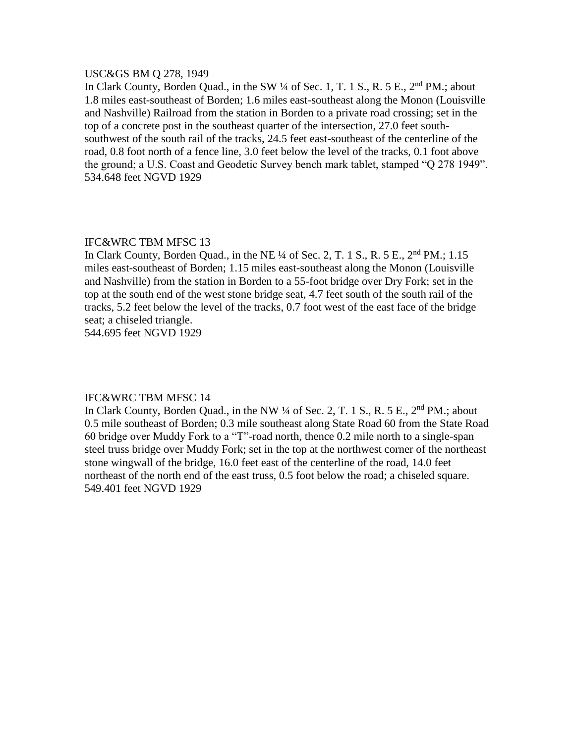#### USC&GS BM Q 278, 1949

In Clark County, Borden Quad., in the SW  $\frac{1}{4}$  of Sec. 1, T. 1 S., R. 5 E.,  $2^{nd}$  PM.; about 1.8 miles east-southeast of Borden; 1.6 miles east-southeast along the Monon (Louisville and Nashville) Railroad from the station in Borden to a private road crossing; set in the top of a concrete post in the southeast quarter of the intersection, 27.0 feet southsouthwest of the south rail of the tracks, 24.5 feet east-southeast of the centerline of the road, 0.8 foot north of a fence line, 3.0 feet below the level of the tracks, 0.1 foot above the ground; a U.S. Coast and Geodetic Survey bench mark tablet, stamped "Q 278 1949". 534.648 feet NGVD 1929

# IFC&WRC TBM MFSC 13

In Clark County, Borden Quad., in the NE ¼ of Sec. 2, T. 1 S., R. 5 E., 2nd PM.; 1.15 miles east-southeast of Borden; 1.15 miles east-southeast along the Monon (Louisville and Nashville) from the station in Borden to a 55-foot bridge over Dry Fork; set in the top at the south end of the west stone bridge seat, 4.7 feet south of the south rail of the tracks, 5.2 feet below the level of the tracks, 0.7 foot west of the east face of the bridge seat; a chiseled triangle.

544.695 feet NGVD 1929

#### IFC&WRC TBM MFSC 14

In Clark County, Borden Quad., in the NW 1/4 of Sec. 2, T. 1 S., R. 5 E., 2<sup>nd</sup> PM.; about 0.5 mile southeast of Borden; 0.3 mile southeast along State Road 60 from the State Road 60 bridge over Muddy Fork to a "T"-road north, thence 0.2 mile north to a single-span steel truss bridge over Muddy Fork; set in the top at the northwest corner of the northeast stone wingwall of the bridge, 16.0 feet east of the centerline of the road, 14.0 feet northeast of the north end of the east truss, 0.5 foot below the road; a chiseled square. 549.401 feet NGVD 1929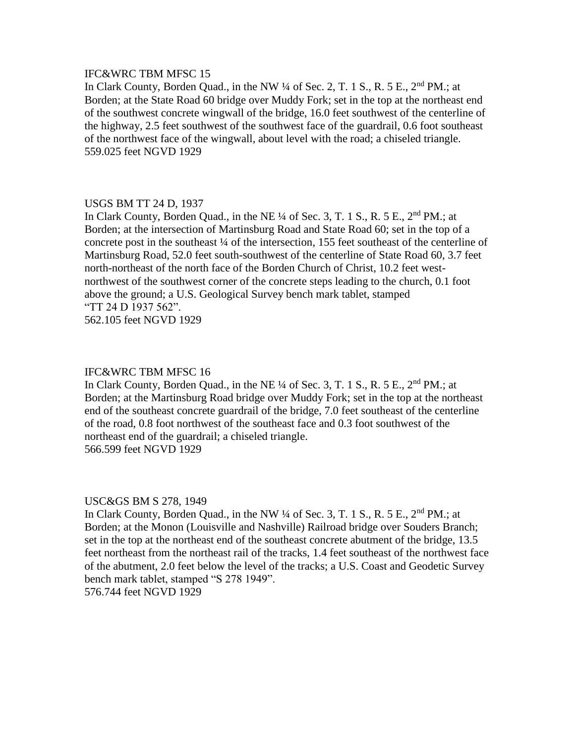# IFC&WRC TBM MFSC 15

In Clark County, Borden Quad., in the NW 1/4 of Sec. 2, T. 1 S., R. 5 E., 2<sup>nd</sup> PM.; at Borden; at the State Road 60 bridge over Muddy Fork; set in the top at the northeast end of the southwest concrete wingwall of the bridge, 16.0 feet southwest of the centerline of the highway, 2.5 feet southwest of the southwest face of the guardrail, 0.6 foot southeast of the northwest face of the wingwall, about level with the road; a chiseled triangle. 559.025 feet NGVD 1929

#### USGS BM TT 24 D, 1937

In Clark County, Borden Quad., in the NE  $\frac{1}{4}$  of Sec. 3, T. 1 S., R. 5 E.,  $2^{nd}$  PM.; at Borden; at the intersection of Martinsburg Road and State Road 60; set in the top of a concrete post in the southeast ¼ of the intersection, 155 feet southeast of the centerline of Martinsburg Road, 52.0 feet south-southwest of the centerline of State Road 60, 3.7 feet north-northeast of the north face of the Borden Church of Christ, 10.2 feet westnorthwest of the southwest corner of the concrete steps leading to the church, 0.1 foot above the ground; a U.S. Geological Survey bench mark tablet, stamped "TT 24 D 1937 562".

562.105 feet NGVD 1929

#### IFC&WRC TBM MFSC 16

In Clark County, Borden Quad., in the NE ¼ of Sec. 3, T. 1 S., R. 5 E., 2<sup>nd</sup> PM.; at Borden; at the Martinsburg Road bridge over Muddy Fork; set in the top at the northeast end of the southeast concrete guardrail of the bridge, 7.0 feet southeast of the centerline of the road, 0.8 foot northwest of the southeast face and 0.3 foot southwest of the northeast end of the guardrail; a chiseled triangle. 566.599 feet NGVD 1929

#### USC&GS BM S 278, 1949

In Clark County, Borden Quad., in the NW  $\frac{1}{4}$  of Sec. 3, T. 1 S., R. 5 E.,  $2<sup>nd</sup> PM$ .; at Borden; at the Monon (Louisville and Nashville) Railroad bridge over Souders Branch; set in the top at the northeast end of the southeast concrete abutment of the bridge, 13.5 feet northeast from the northeast rail of the tracks, 1.4 feet southeast of the northwest face of the abutment, 2.0 feet below the level of the tracks; a U.S. Coast and Geodetic Survey bench mark tablet, stamped "S 278 1949".

576.744 feet NGVD 1929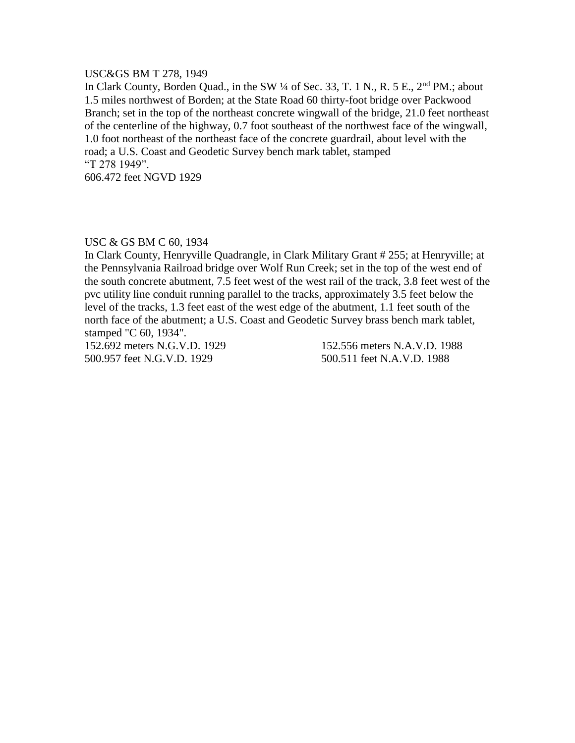#### USC&GS BM T 278, 1949

In Clark County, Borden Quad., in the SW 1/4 of Sec. 33, T. 1 N., R. 5 E., 2<sup>nd</sup> PM.; about 1.5 miles northwest of Borden; at the State Road 60 thirty-foot bridge over Packwood Branch; set in the top of the northeast concrete wingwall of the bridge, 21.0 feet northeast of the centerline of the highway, 0.7 foot southeast of the northwest face of the wingwall, 1.0 foot northeast of the northeast face of the concrete guardrail, about level with the road; a U.S. Coast and Geodetic Survey bench mark tablet, stamped "T 278 1949".

606.472 feet NGVD 1929

# USC & GS BM C 60, 1934

In Clark County, Henryville Quadrangle, in Clark Military Grant # 255; at Henryville; at the Pennsylvania Railroad bridge over Wolf Run Creek; set in the top of the west end of the south concrete abutment, 7.5 feet west of the west rail of the track, 3.8 feet west of the pvc utility line conduit running parallel to the tracks, approximately 3.5 feet below the level of the tracks, 1.3 feet east of the west edge of the abutment, 1.1 feet south of the north face of the abutment; a U.S. Coast and Geodetic Survey brass bench mark tablet, stamped "C 60, 1934".

152.692 meters N.G.V.D. 1929 152.556 meters N.A.V.D. 1988 500.957 feet N.G.V.D. 1929 500.511 feet N.A.V.D. 1988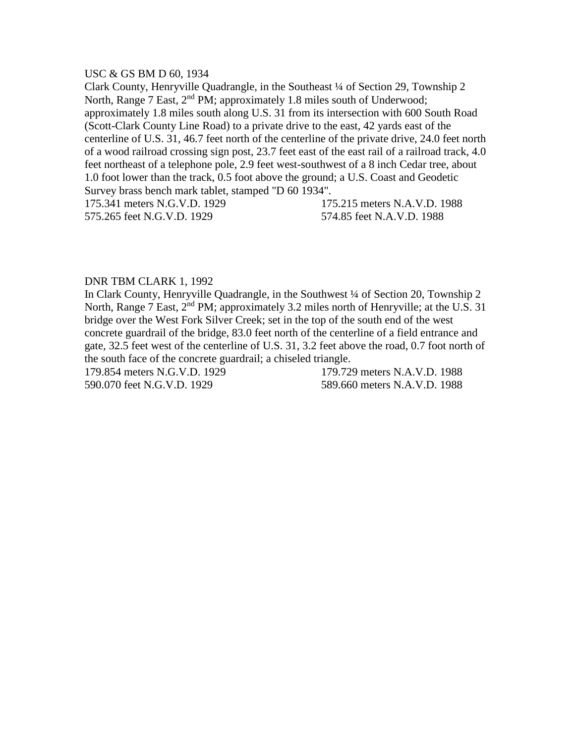#### USC & GS BM D 60, 1934

Clark County, Henryville Quadrangle, in the Southeast ¼ of Section 29, Township 2 North, Range 7 East, 2<sup>nd</sup> PM; approximately 1.8 miles south of Underwood; approximately 1.8 miles south along U.S. 31 from its intersection with 600 South Road (Scott-Clark County Line Road) to a private drive to the east, 42 yards east of the centerline of U.S. 31, 46.7 feet north of the centerline of the private drive, 24.0 feet north of a wood railroad crossing sign post, 23.7 feet east of the east rail of a railroad track, 4.0 feet northeast of a telephone pole, 2.9 feet west-southwest of a 8 inch Cedar tree, about 1.0 foot lower than the track, 0.5 foot above the ground; a U.S. Coast and Geodetic Survey brass bench mark tablet, stamped "D 60 1934".

175.341 meters N.G.V.D. 1929 175.215 meters N.A.V.D. 1988 575.265 feet N.G.V.D. 1929 574.85 feet N.A.V.D. 1988

#### DNR TBM CLARK 1, 1992

In Clark County, Henryville Quadrangle, in the Southwest  $\frac{1}{4}$  of Section 20, Township 2 North, Range 7 East, 2<sup>nd</sup> PM; approximately 3.2 miles north of Henryville; at the U.S. 31 bridge over the West Fork Silver Creek; set in the top of the south end of the west concrete guardrail of the bridge, 83.0 feet north of the centerline of a field entrance and gate, 32.5 feet west of the centerline of U.S. 31, 3.2 feet above the road, 0.7 foot north of the south face of the concrete guardrail; a chiseled triangle.

179.854 meters N.G.V.D. 1929 179.729 meters N.A.V.D. 1988 590.070 feet N.G.V.D. 1929 589.660 meters N.A.V.D. 1988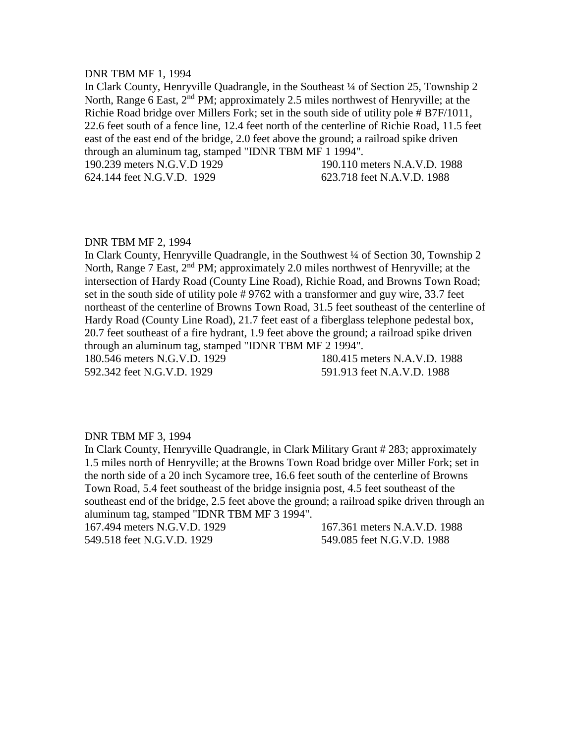#### DNR TBM MF 1, 1994

In Clark County, Henryville Quadrangle, in the Southeast ¼ of Section 25, Township 2 North, Range 6 East,  $2<sup>nd</sup> PM$ ; approximately 2.5 miles northwest of Henryville; at the Richie Road bridge over Millers Fork; set in the south side of utility pole # B7F/1011, 22.6 feet south of a fence line, 12.4 feet north of the centerline of Richie Road, 11.5 feet east of the east end of the bridge, 2.0 feet above the ground; a railroad spike driven through an aluminum tag, stamped "IDNR TBM MF 1 1994".

190.239 meters N.G.V.D 1929 190.110 meters N.A.V.D. 1988

624.144 feet N.G.V.D. 1929 623.718 feet N.A.V.D. 1988

#### DNR TBM MF 2, 1994

In Clark County, Henryville Quadrangle, in the Southwest ¼ of Section 30, Township 2 North, Range 7 East, 2<sup>nd</sup> PM; approximately 2.0 miles northwest of Henryville; at the intersection of Hardy Road (County Line Road), Richie Road, and Browns Town Road; set in the south side of utility pole # 9762 with a transformer and guy wire, 33.7 feet northeast of the centerline of Browns Town Road, 31.5 feet southeast of the centerline of Hardy Road (County Line Road), 21.7 feet east of a fiberglass telephone pedestal box, 20.7 feet southeast of a fire hydrant, 1.9 feet above the ground; a railroad spike driven through an aluminum tag, stamped "IDNR TBM MF 2 1994".

592.342 feet N.G.V.D. 1929 591.913 feet N.A.V.D. 1988

180.546 meters N.G.V.D. 1929 180.415 meters N.A.V.D. 1988

#### DNR TBM MF 3, 1994

In Clark County, Henryville Quadrangle, in Clark Military Grant # 283; approximately 1.5 miles north of Henryville; at the Browns Town Road bridge over Miller Fork; set in the north side of a 20 inch Sycamore tree, 16.6 feet south of the centerline of Browns Town Road, 5.4 feet southeast of the bridge insignia post, 4.5 feet southeast of the southeast end of the bridge, 2.5 feet above the ground; a railroad spike driven through an aluminum tag, stamped "IDNR TBM MF 3 1994".

167.494 meters N.G.V.D. 1929 167.361 meters N.A.V.D. 1988

549.518 feet N.G.V.D. 1929 549.085 feet N.G.V.D. 1988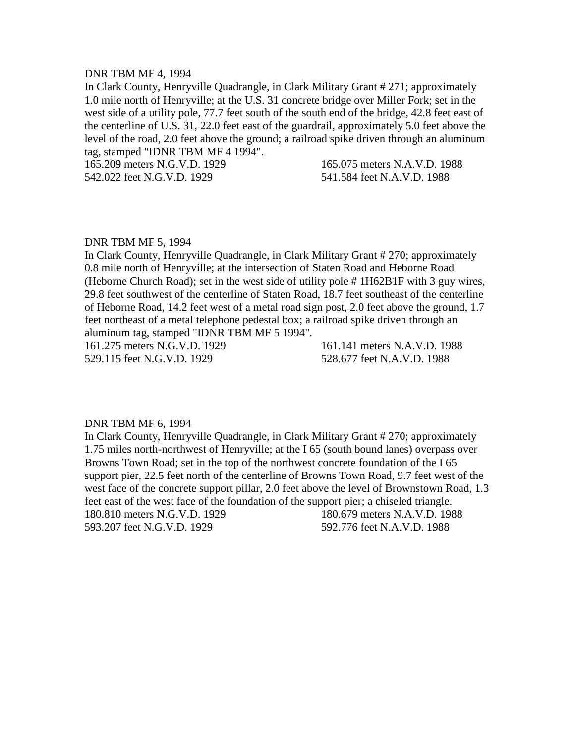#### DNR TBM MF 4, 1994

In Clark County, Henryville Quadrangle, in Clark Military Grant # 271; approximately 1.0 mile north of Henryville; at the U.S. 31 concrete bridge over Miller Fork; set in the west side of a utility pole, 77.7 feet south of the south end of the bridge, 42.8 feet east of the centerline of U.S. 31, 22.0 feet east of the guardrail, approximately 5.0 feet above the level of the road, 2.0 feet above the ground; a railroad spike driven through an aluminum tag, stamped "IDNR TBM MF 4 1994".

165.209 meters N.G.V.D. 1929 165.075 meters N.A.V.D. 1988 542.022 feet N.G.V.D. 1929 541.584 feet N.A.V.D. 1988

#### DNR TBM MF 5, 1994

In Clark County, Henryville Quadrangle, in Clark Military Grant # 270; approximately 0.8 mile north of Henryville; at the intersection of Staten Road and Heborne Road (Heborne Church Road); set in the west side of utility pole # 1H62B1F with 3 guy wires, 29.8 feet southwest of the centerline of Staten Road, 18.7 feet southeast of the centerline of Heborne Road, 14.2 feet west of a metal road sign post, 2.0 feet above the ground, 1.7 feet northeast of a metal telephone pedestal box; a railroad spike driven through an aluminum tag, stamped "IDNR TBM MF 5 1994".

161.275 meters N.G.V.D. 1929 161.141 meters N.A.V.D. 1988 529.115 feet N.G.V.D. 1929 528.677 feet N.A.V.D. 1988

#### DNR TBM MF 6, 1994

In Clark County, Henryville Quadrangle, in Clark Military Grant # 270; approximately 1.75 miles north-northwest of Henryville; at the I 65 (south bound lanes) overpass over Browns Town Road; set in the top of the northwest concrete foundation of the I 65 support pier, 22.5 feet north of the centerline of Browns Town Road, 9.7 feet west of the west face of the concrete support pillar, 2.0 feet above the level of Brownstown Road, 1.3 feet east of the west face of the foundation of the support pier; a chiseled triangle. 180.810 meters N.G.V.D. 1929 180.679 meters N.A.V.D. 1988 593.207 feet N.G.V.D. 1929 592.776 feet N.A.V.D. 1988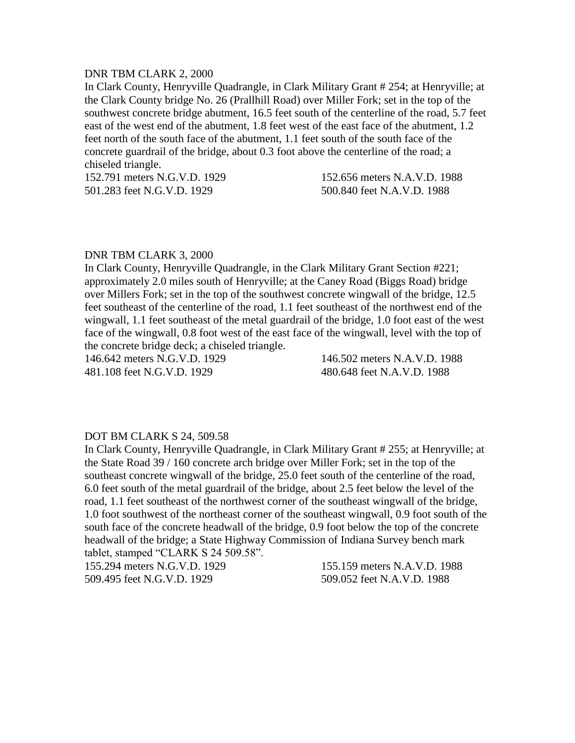# DNR TBM CLARK 2, 2000

In Clark County, Henryville Quadrangle, in Clark Military Grant # 254; at Henryville; at the Clark County bridge No. 26 (Prallhill Road) over Miller Fork; set in the top of the southwest concrete bridge abutment, 16.5 feet south of the centerline of the road, 5.7 feet east of the west end of the abutment, 1.8 feet west of the east face of the abutment, 1.2 feet north of the south face of the abutment, 1.1 feet south of the south face of the concrete guardrail of the bridge, about 0.3 foot above the centerline of the road; a chiseled triangle.

152.791 meters N.G.V.D. 1929 152.656 meters N.A.V.D. 1988 501.283 feet N.G.V.D. 1929 500.840 feet N.A.V.D. 1988

# DNR TBM CLARK 3, 2000

In Clark County, Henryville Quadrangle, in the Clark Military Grant Section #221; approximately 2.0 miles south of Henryville; at the Caney Road (Biggs Road) bridge over Millers Fork; set in the top of the southwest concrete wingwall of the bridge, 12.5 feet southeast of the centerline of the road, 1.1 feet southeast of the northwest end of the wingwall, 1.1 feet southeast of the metal guardrail of the bridge, 1.0 foot east of the west face of the wingwall, 0.8 foot west of the east face of the wingwall, level with the top of the concrete bridge deck; a chiseled triangle.

146.642 meters N.G.V.D. 1929 146.502 meters N.A.V.D. 1988 481.108 feet N.G.V.D. 1929 480.648 feet N.A.V.D. 1988

#### DOT BM CLARK S 24, 509.58

In Clark County, Henryville Quadrangle, in Clark Military Grant # 255; at Henryville; at the State Road 39 / 160 concrete arch bridge over Miller Fork; set in the top of the southeast concrete wingwall of the bridge, 25.0 feet south of the centerline of the road, 6.0 feet south of the metal guardrail of the bridge, about 2.5 feet below the level of the road, 1.1 feet southeast of the northwest corner of the southeast wingwall of the bridge, 1.0 foot southwest of the northeast corner of the southeast wingwall, 0.9 foot south of the south face of the concrete headwall of the bridge, 0.9 foot below the top of the concrete headwall of the bridge; a State Highway Commission of Indiana Survey bench mark tablet, stamped "CLARK S 24 509.58".

155.294 meters N.G.V.D. 1929 155.159 meters N.A.V.D. 1988 509.495 feet N.G.V.D. 1929 509.052 feet N.A.V.D. 1988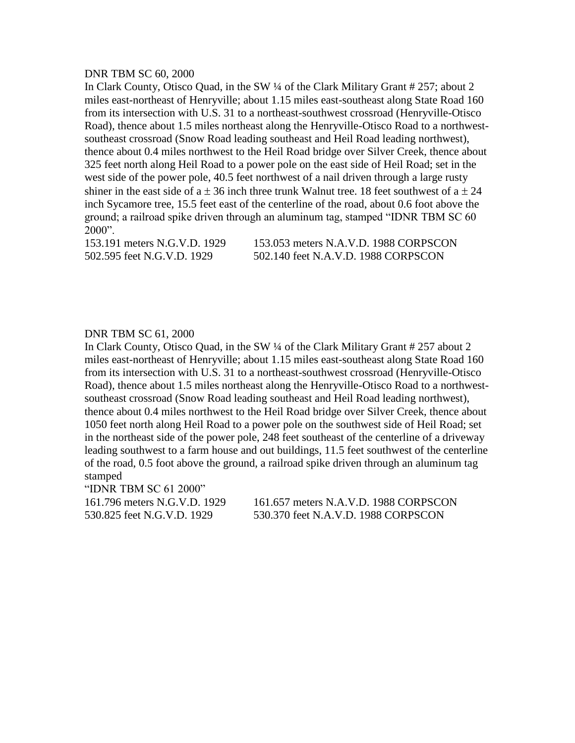#### DNR TBM SC 60, 2000

In Clark County, Otisco Quad, in the SW ¼ of the Clark Military Grant # 257; about 2 miles east-northeast of Henryville; about 1.15 miles east-southeast along State Road 160 from its intersection with U.S. 31 to a northeast-southwest crossroad (Henryville-Otisco Road), thence about 1.5 miles northeast along the Henryville-Otisco Road to a northwestsoutheast crossroad (Snow Road leading southeast and Heil Road leading northwest), thence about 0.4 miles northwest to the Heil Road bridge over Silver Creek, thence about 325 feet north along Heil Road to a power pole on the east side of Heil Road; set in the west side of the power pole, 40.5 feet northwest of a nail driven through a large rusty shiner in the east side of a  $\pm$  36 inch three trunk Walnut tree. 18 feet southwest of a  $\pm$  24 inch Sycamore tree, 15.5 feet east of the centerline of the road, about 0.6 foot above the ground; a railroad spike driven through an aluminum tag, stamped "IDNR TBM SC 60  $2000"$ .

153.191 meters N.G.V.D. 1929 153.053 meters N.A.V.D. 1988 CORPSCON 502.595 feet N.G.V.D. 1929 502.140 feet N.A.V.D. 1988 CORPSCON

#### DNR TBM SC 61, 2000

In Clark County, Otisco Quad, in the SW ¼ of the Clark Military Grant # 257 about 2 miles east-northeast of Henryville; about 1.15 miles east-southeast along State Road 160 from its intersection with U.S. 31 to a northeast-southwest crossroad (Henryville-Otisco Road), thence about 1.5 miles northeast along the Henryville-Otisco Road to a northwestsoutheast crossroad (Snow Road leading southeast and Heil Road leading northwest), thence about 0.4 miles northwest to the Heil Road bridge over Silver Creek, thence about 1050 feet north along Heil Road to a power pole on the southwest side of Heil Road; set in the northeast side of the power pole, 248 feet southeast of the centerline of a driveway leading southwest to a farm house and out buildings, 11.5 feet southwest of the centerline of the road, 0.5 foot above the ground, a railroad spike driven through an aluminum tag stamped

"IDNR TBM SC 61 2000"

161.796 meters N.G.V.D. 1929 161.657 meters N.A.V.D. 1988 CORPSCON 530.825 feet N.G.V.D. 1929 530.370 feet N.A.V.D. 1988 CORPSCON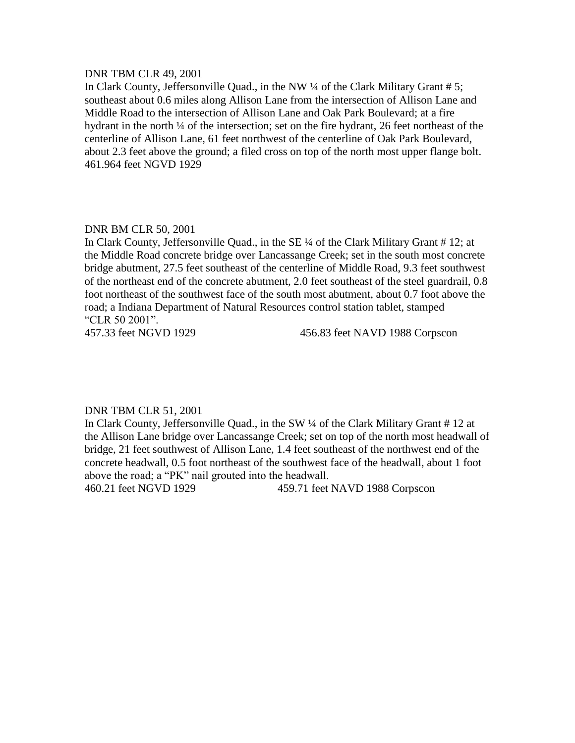#### DNR TBM CLR 49, 2001

In Clark County, Jeffersonville Quad., in the NW ¼ of the Clark Military Grant # 5; southeast about 0.6 miles along Allison Lane from the intersection of Allison Lane and Middle Road to the intersection of Allison Lane and Oak Park Boulevard; at a fire hydrant in the north  $\frac{1}{4}$  of the intersection; set on the fire hydrant, 26 feet northeast of the centerline of Allison Lane, 61 feet northwest of the centerline of Oak Park Boulevard, about 2.3 feet above the ground; a filed cross on top of the north most upper flange bolt. 461.964 feet NGVD 1929

# DNR BM CLR 50, 2001

In Clark County, Jeffersonville Quad., in the SE ¼ of the Clark Military Grant # 12; at the Middle Road concrete bridge over Lancassange Creek; set in the south most concrete bridge abutment, 27.5 feet southeast of the centerline of Middle Road, 9.3 feet southwest of the northeast end of the concrete abutment, 2.0 feet southeast of the steel guardrail, 0.8 foot northeast of the southwest face of the south most abutment, about 0.7 foot above the road; a Indiana Department of Natural Resources control station tablet, stamped "CLR 50 2001".

457.33 feet NGVD 1929 456.83 feet NAVD 1988 Corpscon

#### DNR TBM CLR 51, 2001

In Clark County, Jeffersonville Quad., in the SW ¼ of the Clark Military Grant # 12 at the Allison Lane bridge over Lancassange Creek; set on top of the north most headwall of bridge, 21 feet southwest of Allison Lane, 1.4 feet southeast of the northwest end of the concrete headwall, 0.5 foot northeast of the southwest face of the headwall, about 1 foot above the road; a "PK" nail grouted into the headwall.

460.21 feet NGVD 1929 459.71 feet NAVD 1988 Corpscon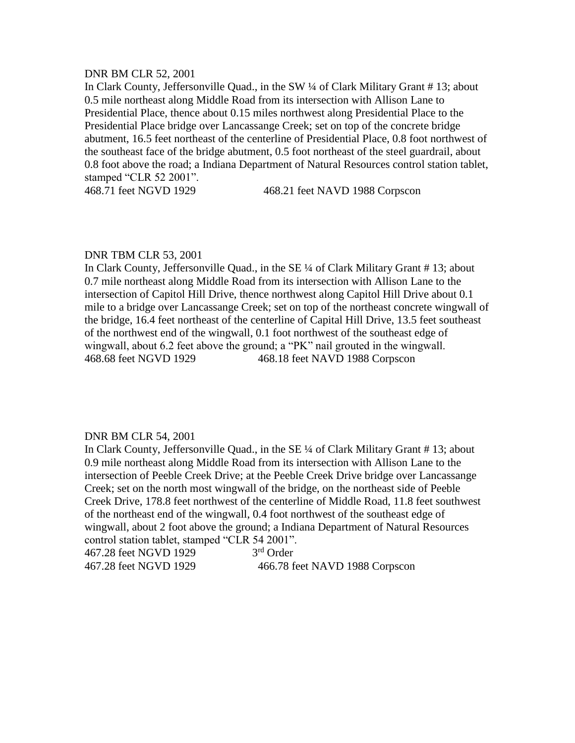#### DNR BM CLR 52, 2001

In Clark County, Jeffersonville Quad., in the SW ¼ of Clark Military Grant # 13; about 0.5 mile northeast along Middle Road from its intersection with Allison Lane to Presidential Place, thence about 0.15 miles northwest along Presidential Place to the Presidential Place bridge over Lancassange Creek; set on top of the concrete bridge abutment, 16.5 feet northeast of the centerline of Presidential Place, 0.8 foot northwest of the southeast face of the bridge abutment, 0.5 foot northeast of the steel guardrail, about 0.8 foot above the road; a Indiana Department of Natural Resources control station tablet, stamped "CLR 52 2001".

468.71 feet NGVD 1929 468.21 feet NAVD 1988 Corpscon

#### DNR TBM CLR 53, 2001

In Clark County, Jeffersonville Quad., in the SE ¼ of Clark Military Grant # 13; about 0.7 mile northeast along Middle Road from its intersection with Allison Lane to the intersection of Capitol Hill Drive, thence northwest along Capitol Hill Drive about 0.1 mile to a bridge over Lancassange Creek; set on top of the northeast concrete wingwall of the bridge, 16.4 feet northeast of the centerline of Capital Hill Drive, 13.5 feet southeast of the northwest end of the wingwall, 0.1 foot northwest of the southeast edge of wingwall, about 6.2 feet above the ground; a "PK" nail grouted in the wingwall. 468.68 feet NGVD 1929 468.18 feet NAVD 1988 Corpscon

#### DNR BM CLR 54, 2001

In Clark County, Jeffersonville Quad., in the SE ¼ of Clark Military Grant # 13; about 0.9 mile northeast along Middle Road from its intersection with Allison Lane to the intersection of Peeble Creek Drive; at the Peeble Creek Drive bridge over Lancassange Creek; set on the north most wingwall of the bridge, on the northeast side of Peeble Creek Drive, 178.8 feet northwest of the centerline of Middle Road, 11.8 feet southwest of the northeast end of the wingwall, 0.4 foot northwest of the southeast edge of wingwall, about 2 foot above the ground; a Indiana Department of Natural Resources control station tablet, stamped "CLR 54 2001".

467.28 feet NGVD 1929 3 3<sup>rd</sup> Order

467.28 feet NGVD 1929 466.78 feet NAVD 1988 Corpscon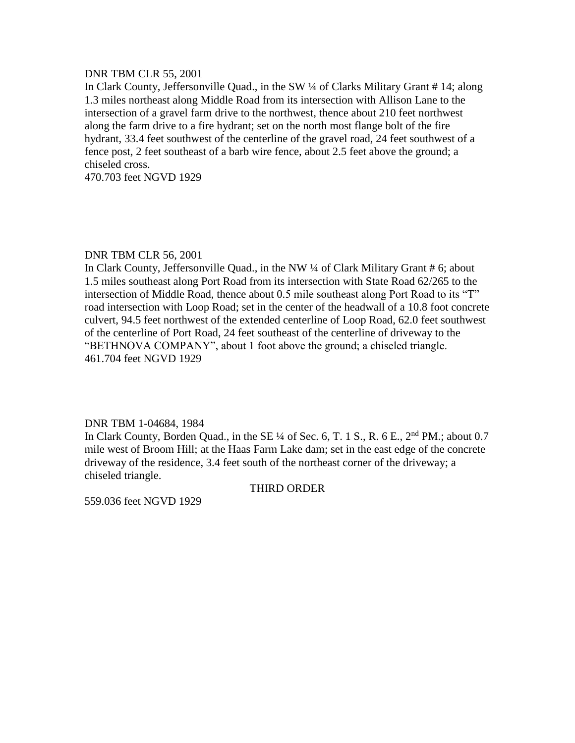## DNR TBM CLR 55, 2001

In Clark County, Jeffersonville Quad., in the SW ¼ of Clarks Military Grant # 14; along 1.3 miles northeast along Middle Road from its intersection with Allison Lane to the intersection of a gravel farm drive to the northwest, thence about 210 feet northwest along the farm drive to a fire hydrant; set on the north most flange bolt of the fire hydrant, 33.4 feet southwest of the centerline of the gravel road, 24 feet southwest of a fence post, 2 feet southeast of a barb wire fence, about 2.5 feet above the ground; a chiseled cross.

470.703 feet NGVD 1929

# DNR TBM CLR 56, 2001

In Clark County, Jeffersonville Quad., in the NW ¼ of Clark Military Grant # 6; about 1.5 miles southeast along Port Road from its intersection with State Road 62/265 to the intersection of Middle Road, thence about 0.5 mile southeast along Port Road to its "T" road intersection with Loop Road; set in the center of the headwall of a 10.8 foot concrete culvert, 94.5 feet northwest of the extended centerline of Loop Road, 62.0 feet southwest of the centerline of Port Road, 24 feet southeast of the centerline of driveway to the "BETHNOVA COMPANY", about 1 foot above the ground; a chiseled triangle. 461.704 feet NGVD 1929

#### DNR TBM 1-04684, 1984

In Clark County, Borden Quad., in the SE  $\frac{1}{4}$  of Sec. 6, T. 1 S., R. 6 E.,  $2<sup>nd</sup> PM$ .; about 0.7 mile west of Broom Hill; at the Haas Farm Lake dam; set in the east edge of the concrete driveway of the residence, 3.4 feet south of the northeast corner of the driveway; a chiseled triangle.

#### THIRD ORDER

559.036 feet NGVD 1929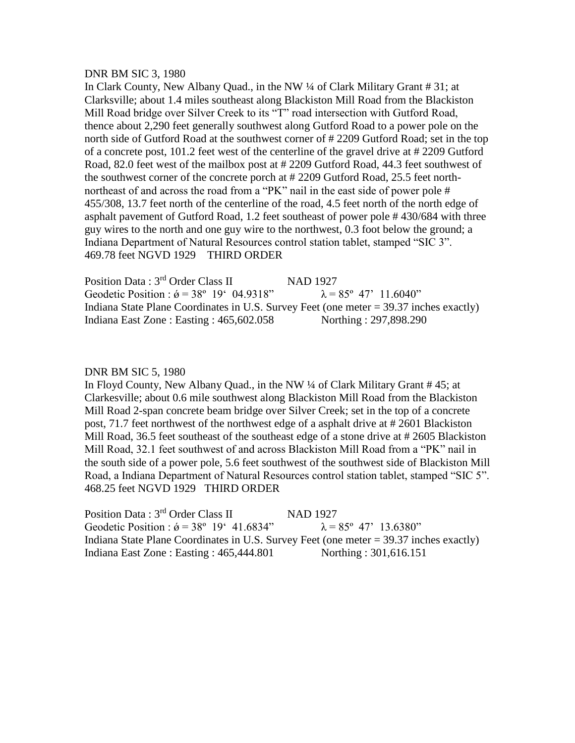#### DNR BM SIC 3, 1980

In Clark County, New Albany Quad., in the NW ¼ of Clark Military Grant # 31; at Clarksville; about 1.4 miles southeast along Blackiston Mill Road from the Blackiston Mill Road bridge over Silver Creek to its "T" road intersection with Gutford Road, thence about 2,290 feet generally southwest along Gutford Road to a power pole on the north side of Gutford Road at the southwest corner of # 2209 Gutford Road; set in the top of a concrete post, 101.2 feet west of the centerline of the gravel drive at # 2209 Gutford Road, 82.0 feet west of the mailbox post at # 2209 Gutford Road, 44.3 feet southwest of the southwest corner of the concrete porch at # 2209 Gutford Road, 25.5 feet northnortheast of and across the road from a "PK" nail in the east side of power pole # 455/308, 13.7 feet north of the centerline of the road, 4.5 feet north of the north edge of asphalt pavement of Gutford Road, 1.2 feet southeast of power pole # 430/684 with three guy wires to the north and one guy wire to the northwest, 0.3 foot below the ground; a Indiana Department of Natural Resources control station tablet, stamped "SIC 3". 469.78 feet NGVD 1929 THIRD ORDER

Position Data : 3<sup>rd</sup> Order Class II NAD 1927 Geodetic Position :  $\acute{\theta} = 38^{\circ} 19' 04.9318''$   $\lambda = 85^{\circ} 47' 11.6040''$ Indiana State Plane Coordinates in U.S. Survey Feet (one meter = 39.37 inches exactly) Indiana East Zone : Easting : 465,602.058 Northing : 297,898.290

#### DNR BM SIC 5, 1980

In Floyd County, New Albany Quad., in the NW ¼ of Clark Military Grant # 45; at Clarkesville; about 0.6 mile southwest along Blackiston Mill Road from the Blackiston Mill Road 2-span concrete beam bridge over Silver Creek; set in the top of a concrete post, 71.7 feet northwest of the northwest edge of a asphalt drive at # 2601 Blackiston Mill Road, 36.5 feet southeast of the southeast edge of a stone drive at # 2605 Blackiston Mill Road, 32.1 feet southwest of and across Blackiston Mill Road from a "PK" nail in the south side of a power pole, 5.6 feet southwest of the southwest side of Blackiston Mill Road, a Indiana Department of Natural Resources control station tablet, stamped "SIC 5". 468.25 feet NGVD 1929 THIRD ORDER

Position Data : 3<sup>rd</sup> Order Class II NAD 1927 Geodetic Position :  $\acute{\theta} = 38^{\circ} 19' 41.6834''$   $\lambda = 85^{\circ} 47' 13.6380''$ Indiana State Plane Coordinates in U.S. Survey Feet (one meter = 39.37 inches exactly) Indiana East Zone : Easting : 465,444.801 Northing : 301,616.151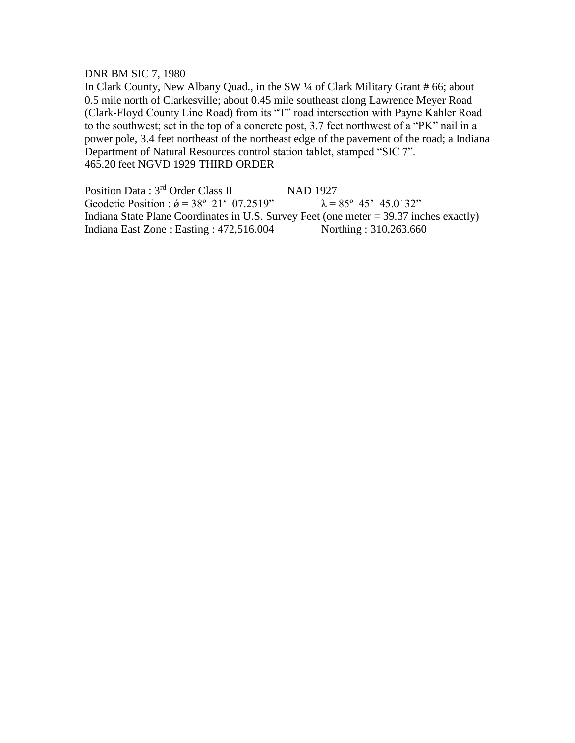# DNR BM SIC 7, 1980

In Clark County, New Albany Quad., in the SW ¼ of Clark Military Grant # 66; about 0.5 mile north of Clarkesville; about 0.45 mile southeast along Lawrence Meyer Road (Clark-Floyd County Line Road) from its "T" road intersection with Payne Kahler Road to the southwest; set in the top of a concrete post, 3.7 feet northwest of a "PK" nail in a power pole, 3.4 feet northeast of the northeast edge of the pavement of the road; a Indiana Department of Natural Resources control station tablet, stamped "SIC 7". 465.20 feet NGVD 1929 THIRD ORDER

Position Data : 3<sup>rd</sup> Order Class II NAD 1927 Geodetic Position :  $\acute{\theta} = 38^{\circ} 21' 07.2519''$   $\lambda = 85^{\circ} 45' 45.0132''$ Indiana State Plane Coordinates in U.S. Survey Feet (one meter = 39.37 inches exactly) Indiana East Zone : Easting : 472,516.004 Northing : 310,263.660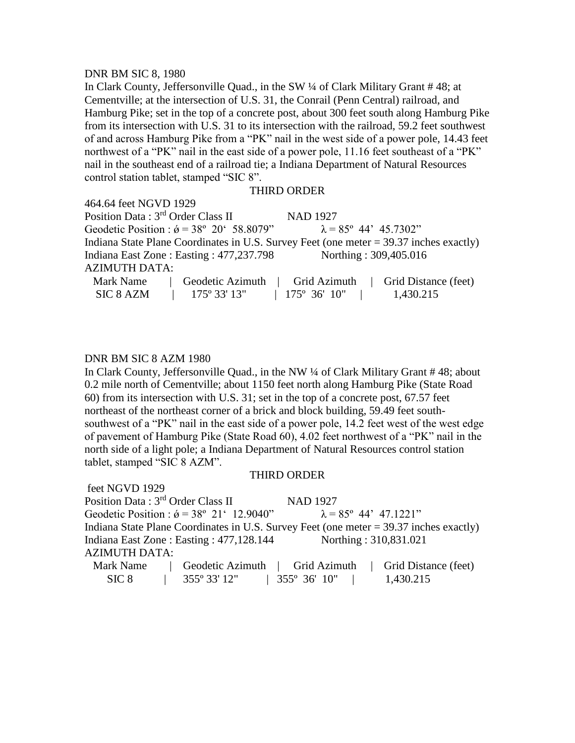#### DNR BM SIC 8, 1980

In Clark County, Jeffersonville Quad., in the SW ¼ of Clark Military Grant # 48; at Cementville; at the intersection of U.S. 31, the Conrail (Penn Central) railroad, and Hamburg Pike; set in the top of a concrete post, about 300 feet south along Hamburg Pike from its intersection with U.S. 31 to its intersection with the railroad, 59.2 feet southwest of and across Hamburg Pike from a "PK" nail in the west side of a power pole, 14.43 feet northwest of a "PK" nail in the east side of a power pole, 11.16 feet southeast of a "PK" nail in the southeast end of a railroad tie; a Indiana Department of Natural Resources control station tablet, stamped "SIC 8".

#### THIRD ORDER

464.64 feet NGVD 1929

Position Data : 3<sup>rd</sup> Order Class II NAD 1927 Geodetic Position :  $\acute{\theta} = 38^{\circ} 20^{\circ} 58.8079^{\circ}$   $\lambda = 85^{\circ} 44^{\circ} 45.7302^{\circ}$ Indiana State Plane Coordinates in U.S. Survey Feet (one meter = 39.37 inches exactly) Indiana East Zone : Easting : 477,237.798 Northing : 309,405.016 AZIMUTH DATA: Mark Name | Geodetic Azimuth | Grid Azimuth | Grid Distance (feet)

SIC 8 AZM | 175° 33' 13" | 175° 36' 10" | 1,430.215

# DNR BM SIC 8 AZM 1980

In Clark County, Jeffersonville Quad., in the NW ¼ of Clark Military Grant # 48; about 0.2 mile north of Cementville; about 1150 feet north along Hamburg Pike (State Road 60) from its intersection with U.S. 31; set in the top of a concrete post, 67.57 feet northeast of the northeast corner of a brick and block building, 59.49 feet southsouthwest of a "PK" nail in the east side of a power pole, 14.2 feet west of the west edge of pavement of Hamburg Pike (State Road 60), 4.02 feet northwest of a "PK" nail in the north side of a light pole; a Indiana Department of Natural Resources control station tablet, stamped "SIC 8 AZM".

#### THIRD ORDER

feet NGVD 1929 Position Data : 3<sup>rd</sup> Order Class II NAD 1927 Geodetic Position :  $\acute{\theta} = 38^{\circ} 21' 12.9040''$   $\lambda = 85^{\circ} 44' 47.1221''$ Indiana State Plane Coordinates in U.S. Survey Feet (one meter = 39.37 inches exactly) Indiana East Zone : Easting : 477,128.144 Northing : 310,831.021 AZIMUTH DATA: Mark Name | Geodetic Azimuth | Grid Azimuth | Grid Distance (feet) SIC 8 | 355° 33' 12" | 355° 36' 10" | 1,430.215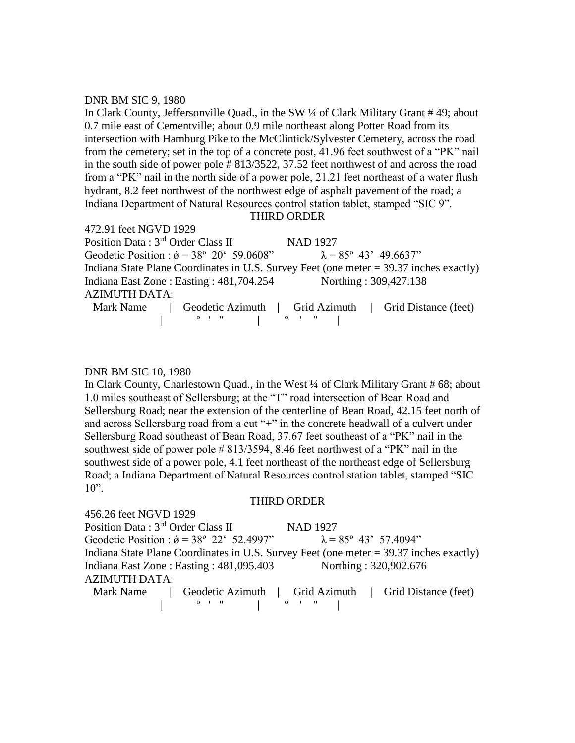#### DNR BM SIC 9, 1980

In Clark County, Jeffersonville Quad., in the SW ¼ of Clark Military Grant # 49; about 0.7 mile east of Cementville; about 0.9 mile northeast along Potter Road from its intersection with Hamburg Pike to the McClintick/Sylvester Cemetery, across the road from the cemetery; set in the top of a concrete post, 41.96 feet southwest of a "PK" nail in the south side of power pole # 813/3522, 37.52 feet northwest of and across the road from a "PK" nail in the north side of a power pole, 21.21 feet northeast of a water flush hydrant, 8.2 feet northwest of the northwest edge of asphalt pavement of the road; a Indiana Department of Natural Resources control station tablet, stamped "SIC 9".

# THIRD ORDER

472.91 feet NGVD 1929 Position Data : 3<sup>rd</sup> Order Class II NAD 1927 Geodetic Position :  $\acute{\theta} = 38^{\circ} 20' 59.0608''$   $\lambda = 85^{\circ} 43' 49.6637''$ Indiana State Plane Coordinates in U.S. Survey Feet (one meter = 39.37 inches exactly) Indiana East Zone : Easting : 481,704.254 Northing : 309,427.138 AZIMUTH DATA: Mark Name | Geodetic Azimuth | Grid Azimuth | Grid Distance (feet) | º ' " | º ' " |

#### DNR BM SIC 10, 1980

In Clark County, Charlestown Quad., in the West ¼ of Clark Military Grant # 68; about 1.0 miles southeast of Sellersburg; at the "T" road intersection of Bean Road and Sellersburg Road; near the extension of the centerline of Bean Road, 42.15 feet north of and across Sellersburg road from a cut "+" in the concrete headwall of a culvert under Sellersburg Road southeast of Bean Road, 37.67 feet southeast of a "PK" nail in the southwest side of power pole # 813/3594, 8.46 feet northwest of a "PK" nail in the southwest side of a power pole, 4.1 feet northeast of the northeast edge of Sellersburg Road; a Indiana Department of Natural Resources control station tablet, stamped "SIC  $10$ ".

#### THIRD ORDER

456.26 feet NGVD 1929 Position Data : 3<sup>rd</sup> Order Class II NAD 1927 Geodetic Position :  $\acute{\theta} = 38^{\circ} 22^{\circ} 52.4997^{\circ}$   $\lambda = 85^{\circ} 43^{\circ} 57.4094^{\circ}$ Indiana State Plane Coordinates in U.S. Survey Feet (one meter = 39.37 inches exactly) Indiana East Zone : Easting : 481,095.403 Northing : 320,902.676 AZIMUTH DATA: Mark Name | Geodetic Azimuth | Grid Azimuth | Grid Distance (feet)

| º ' " | º ' " |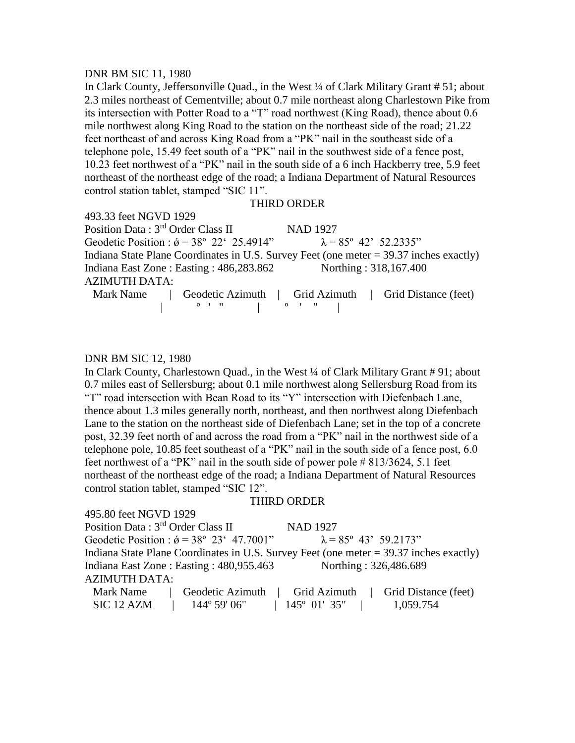#### DNR BM SIC 11, 1980

In Clark County, Jeffersonville Quad., in the West ¼ of Clark Military Grant # 51; about 2.3 miles northeast of Cementville; about 0.7 mile northeast along Charlestown Pike from its intersection with Potter Road to a "T" road northwest (King Road), thence about 0.6 mile northwest along King Road to the station on the northeast side of the road; 21.22 feet northeast of and across King Road from a "PK" nail in the southeast side of a telephone pole, 15.49 feet south of a "PK" nail in the southwest side of a fence post, 10.23 feet northwest of a "PK" nail in the south side of a 6 inch Hackberry tree, 5.9 feet northeast of the northeast edge of the road; a Indiana Department of Natural Resources control station tablet, stamped "SIC 11".

# THIRD ORDER

493.33 feet NGVD 1929 Position Data : 3<sup>rd</sup> Order Class II NAD 1927 Geodetic Position :  $\acute{\theta} = 38^{\circ} 22' 25.4914''$   $\lambda = 85^{\circ} 42' 52.2335''$ Indiana State Plane Coordinates in U.S. Survey Feet (one meter = 39.37 inches exactly) Indiana East Zone : Easting : 486,283.862 Northing : 318,167.400 AZIMUTH DATA: Mark Name  $\begin{array}{c|c|c|c|c}\n\hline\n\text{Geodetic Azimuth} & \text{Grid Azimuth} & \text{Grid Distance (feet)}\n\end{array}$  $\begin{array}{ccc} \circ & \circ & \circ \\ \circ & \circ & \circ \end{array}$ 

# DNR BM SIC 12, 1980

495.80 feet NGVD 1929

In Clark County, Charlestown Quad., in the West ¼ of Clark Military Grant # 91; about 0.7 miles east of Sellersburg; about 0.1 mile northwest along Sellersburg Road from its "T" road intersection with Bean Road to its "Y" intersection with Diefenbach Lane, thence about 1.3 miles generally north, northeast, and then northwest along Diefenbach Lane to the station on the northeast side of Diefenbach Lane; set in the top of a concrete post, 32.39 feet north of and across the road from a "PK" nail in the northwest side of a telephone pole, 10.85 feet southeast of a "PK" nail in the south side of a fence post, 6.0 feet northwest of a "PK" nail in the south side of power pole # 813/3624, 5.1 feet northeast of the northeast edge of the road; a Indiana Department of Natural Resources control station tablet, stamped "SIC 12".

#### THIRD ORDER

| Position Data: 3rd Order Class II                                                        | <b>NAD 1927</b>                                        |
|------------------------------------------------------------------------------------------|--------------------------------------------------------|
| Geodetic Position : $\acute{\sigma}$ = 38° 23′ 47.7001"                                  | $\lambda = 85^{\circ}$ 43' 59.2173"                    |
| Indiana State Plane Coordinates in U.S. Survey Feet (one meter $=$ 39.37 inches exactly) |                                                        |
| Indiana East Zone : Easting : 480,955.463                                                | Northing: 326,486.689                                  |
| <b>AZIMUTH DATA:</b>                                                                     |                                                        |
| Mark Name                                                                                | Geodetic Azimuth   Grid Azimuth   Grid Distance (feet) |
| SIC 12 AZM<br>144° 59' 06"                                                               | 1,059.754<br>$145^{\circ}$ 01' 35"                     |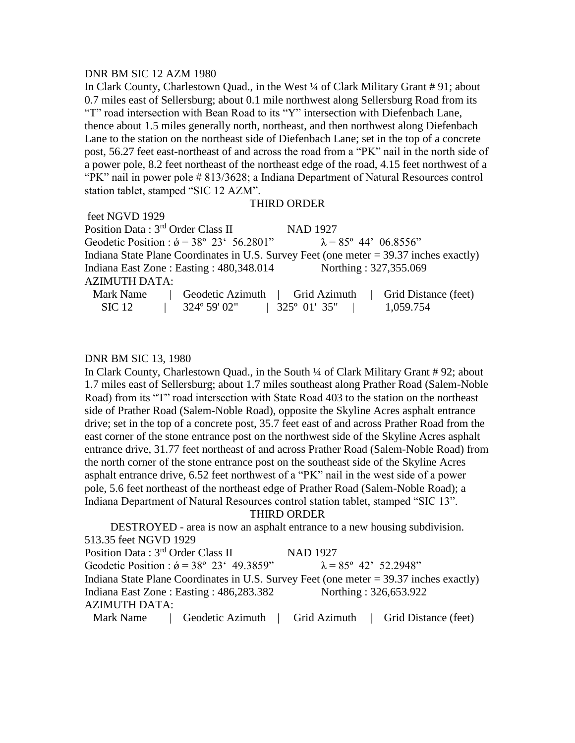#### DNR BM SIC 12 AZM 1980

In Clark County, Charlestown Quad., in the West ¼ of Clark Military Grant # 91; about 0.7 miles east of Sellersburg; about 0.1 mile northwest along Sellersburg Road from its "T" road intersection with Bean Road to its "Y" intersection with Diefenbach Lane, thence about 1.5 miles generally north, northeast, and then northwest along Diefenbach Lane to the station on the northeast side of Diefenbach Lane; set in the top of a concrete post, 56.27 feet east-northeast of and across the road from a "PK" nail in the north side of a power pole, 8.2 feet northeast of the northeast edge of the road, 4.15 feet northwest of a "PK" nail in power pole # 813/3628; a Indiana Department of Natural Resources control station tablet, stamped "SIC 12 AZM".

#### THIRD ORDER

feet NGVD 1929 Position Data : 3<sup>rd</sup> Order Class II NAD 1927 Geodetic Position :  $\acute{\sigma} = 38^{\circ} 23' 56.2801''$   $\lambda = 85^{\circ} 44' 06.8556''$ Indiana State Plane Coordinates in U.S. Survey Feet (one meter = 39.37 inches exactly) Indiana East Zone : Easting : 480,348.014 Northing : 327,355.069 AZIMUTH DATA: Mark Name | Geodetic Azimuth | Grid Azimuth | Grid Distance (feet) SIC 12 | 324° 59' 02" | 325° 01' 35" | 1,059.754

#### DNR BM SIC 13, 1980

In Clark County, Charlestown Quad., in the South ¼ of Clark Military Grant # 92; about 1.7 miles east of Sellersburg; about 1.7 miles southeast along Prather Road (Salem-Noble Road) from its "T" road intersection with State Road 403 to the station on the northeast side of Prather Road (Salem-Noble Road), opposite the Skyline Acres asphalt entrance drive; set in the top of a concrete post, 35.7 feet east of and across Prather Road from the east corner of the stone entrance post on the northwest side of the Skyline Acres asphalt entrance drive, 31.77 feet northeast of and across Prather Road (Salem-Noble Road) from the north corner of the stone entrance post on the southeast side of the Skyline Acres asphalt entrance drive, 6.52 feet northwest of a "PK" nail in the west side of a power pole, 5.6 feet northeast of the northeast edge of Prather Road (Salem-Noble Road); a Indiana Department of Natural Resources control station tablet, stamped "SIC 13".

THIRD ORDER

DESTROYED - area is now an asphalt entrance to a new housing subdivision. 513.35 feet NGVD 1929 Position Data : 3<sup>rd</sup> Order Class II NAD 1927 Geodetic Position :  $\acute{\theta} = 38^{\circ} 23' 49.3859''$   $\lambda = 85^{\circ} 42' 52.2948''$ Indiana State Plane Coordinates in U.S. Survey Feet (one meter = 39.37 inches exactly) Indiana East Zone : Easting : 486,283.382 Northing : 326,653.922 AZIMUTH DATA: Mark Name | Geodetic Azimuth | Grid Azimuth | Grid Distance (feet)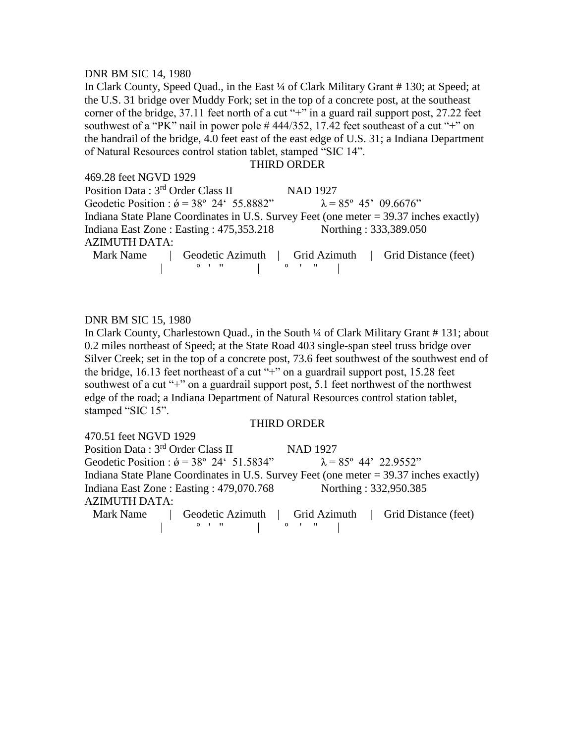#### DNR BM SIC 14, 1980

In Clark County, Speed Quad., in the East 1/4 of Clark Military Grant #130; at Speed; at the U.S. 31 bridge over Muddy Fork; set in the top of a concrete post, at the southeast corner of the bridge, 37.11 feet north of a cut "+" in a guard rail support post, 27.22 feet southwest of a "PK" nail in power pole #444/352, 17.42 feet southeast of a cut "+" on the handrail of the bridge, 4.0 feet east of the east edge of U.S. 31; a Indiana Department of Natural Resources control station tablet, stamped "SIC 14".

#### THIRD ORDER

| 469.28 feet NGVD 1929                                   |                                                                                          |
|---------------------------------------------------------|------------------------------------------------------------------------------------------|
| Position Data: 3 <sup>rd</sup> Order Class II           | NAD 1927                                                                                 |
| Geodetic Position : $\acute{\sigma}$ = 38° 24′ 55.8882" | $\lambda = 85^{\circ} 45' 09.6676''$                                                     |
|                                                         | Indiana State Plane Coordinates in U.S. Survey Feet (one meter $=$ 39.37 inches exactly) |
| Indiana East Zone : Easting : 475,353.218               | Northing: 333,389.050                                                                    |
| <b>AZIMUTH DATA:</b>                                    |                                                                                          |
|                                                         | Mark Name   Geodetic Azimuth   Grid Azimuth   Grid Distance (feet)                       |
|                                                         |                                                                                          |

#### DNR BM SIC 15, 1980

In Clark County, Charlestown Quad., in the South ¼ of Clark Military Grant # 131; about 0.2 miles northeast of Speed; at the State Road 403 single-span steel truss bridge over Silver Creek; set in the top of a concrete post, 73.6 feet southwest of the southwest end of the bridge, 16.13 feet northeast of a cut  $+$ " on a guardrail support post, 15.28 feet southwest of a cut "+" on a guardrail support post, 5.1 feet northwest of the northwest edge of the road; a Indiana Department of Natural Resources control station tablet, stamped "SIC 15".

#### THIRD ORDER

| 470.51 feet NGVD 1929                                                                                |                                                                                          |
|------------------------------------------------------------------------------------------------------|------------------------------------------------------------------------------------------|
| Position Data: 3 <sup>rd</sup> Order Class II                                                        | <b>NAD 1927</b>                                                                          |
| Geodetic Position : $\acute{\sigma}$ = 38° 24′ 51.5834" $\lambda$ = 85° 44' 22.9552"                 |                                                                                          |
|                                                                                                      | Indiana State Plane Coordinates in U.S. Survey Feet (one meter $=$ 39.37 inches exactly) |
| Indiana East Zone : Easting : 479,070.768                                                            | Northing: 332,950.385                                                                    |
| <b>AZIMUTH DATA:</b>                                                                                 |                                                                                          |
|                                                                                                      | Mark Name   Geodetic Azimuth   Grid Azimuth   Grid Distance (feet)                       |
| $\begin{array}{ccccccc}\n0 & 1 & 11 & & & & \\ 0 & 0 & 1 & 11 & & \\ 0 & 0 & 0 & 0 & 0\n\end{array}$ |                                                                                          |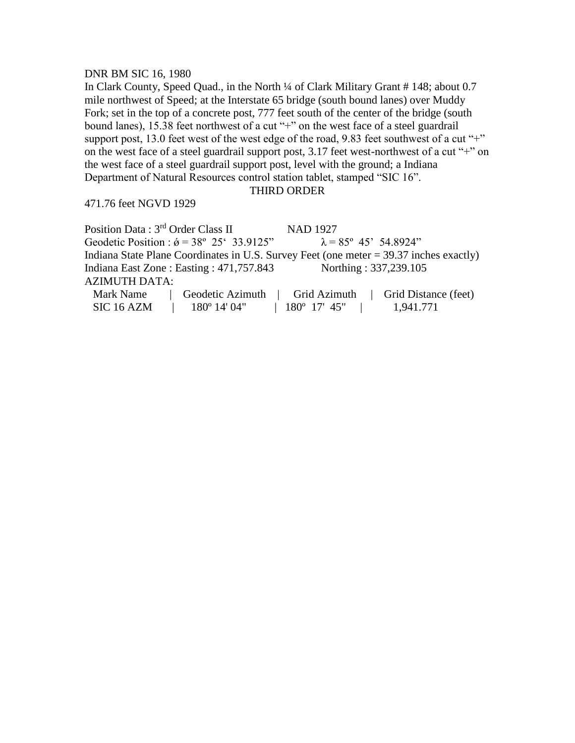#### DNR BM SIC 16, 1980

In Clark County, Speed Quad., in the North ¼ of Clark Military Grant # 148; about 0.7 mile northwest of Speed; at the Interstate 65 bridge (south bound lanes) over Muddy Fork; set in the top of a concrete post, 777 feet south of the center of the bridge (south bound lanes), 15.38 feet northwest of a cut "+" on the west face of a steel guardrail support post, 13.0 feet west of the west edge of the road, 9.83 feet southwest of a cut "+" on the west face of a steel guardrail support post, 3.17 feet west-northwest of a cut "+" on the west face of a steel guardrail support post, level with the ground; a Indiana Department of Natural Resources control station tablet, stamped "SIC 16".

#### THIRD ORDER

471.76 feet NGVD 1929

Position Data : 3<sup>rd</sup> Order Class II NAD 1927 Geodetic Position :  $\acute{\theta} = 38^{\circ} 25' 33.9125''$   $\lambda = 85^{\circ} 45' 54.8924''$ Indiana State Plane Coordinates in U.S. Survey Feet (one meter = 39.37 inches exactly) Indiana East Zone : Easting : 471,757.843 Northing : 337,239.105 AZIMUTH DATA: Mark Name | Geodetic Azimuth | Grid Azimuth | Grid Distance (feet) SIC 16 AZM | 180° 14' 04" | 180° 17' 45" | 1,941.771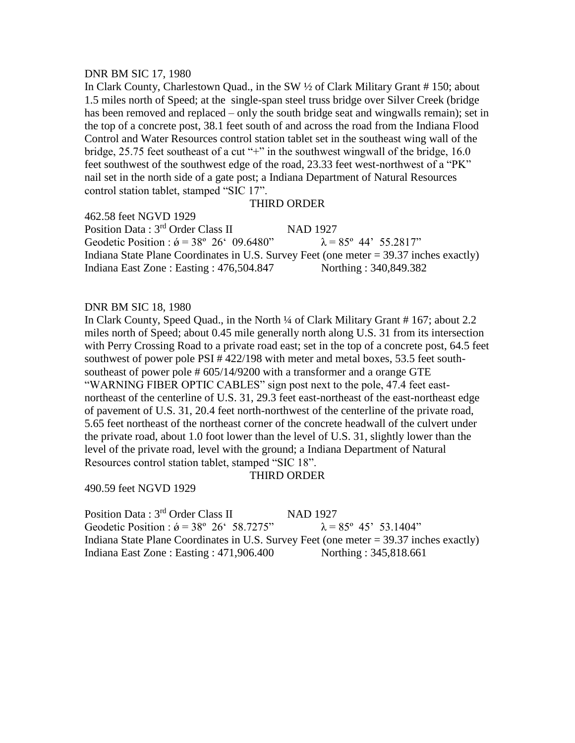#### DNR BM SIC 17, 1980

In Clark County, Charlestown Quad., in the SW ½ of Clark Military Grant # 150; about 1.5 miles north of Speed; at the single-span steel truss bridge over Silver Creek (bridge has been removed and replaced – only the south bridge seat and wingwalls remain); set in the top of a concrete post, 38.1 feet south of and across the road from the Indiana Flood Control and Water Resources control station tablet set in the southeast wing wall of the bridge, 25.75 feet southeast of a cut "+" in the southwest wingwall of the bridge, 16.0 feet southwest of the southwest edge of the road, 23.33 feet west-northwest of a "PK" nail set in the north side of a gate post; a Indiana Department of Natural Resources control station tablet, stamped "SIC 17".

# THIRD ORDER

462.58 feet NGVD 1929 Position Data : 3<sup>rd</sup> Order Class II NAD 1927 Geodetic Position :  $\acute{\theta} = 38^{\circ} 26' 09.6480''$   $\lambda = 85^{\circ} 44' 55.2817''$ Indiana State Plane Coordinates in U.S. Survey Feet (one meter = 39.37 inches exactly) Indiana East Zone : Easting : 476,504.847 Northing : 340,849.382

#### DNR BM SIC 18, 1980

In Clark County, Speed Quad., in the North ¼ of Clark Military Grant # 167; about 2.2 miles north of Speed; about 0.45 mile generally north along U.S. 31 from its intersection with Perry Crossing Road to a private road east; set in the top of a concrete post, 64.5 feet southwest of power pole PSI # 422/198 with meter and metal boxes, 53.5 feet southsoutheast of power pole # 605/14/9200 with a transformer and a orange GTE "WARNING FIBER OPTIC CABLES" sign post next to the pole, 47.4 feet eastnortheast of the centerline of U.S. 31, 29.3 feet east-northeast of the east-northeast edge of pavement of U.S. 31, 20.4 feet north-northwest of the centerline of the private road, 5.65 feet northeast of the northeast corner of the concrete headwall of the culvert under the private road, about 1.0 foot lower than the level of U.S. 31, slightly lower than the level of the private road, level with the ground; a Indiana Department of Natural Resources control station tablet, stamped "SIC 18".

#### THIRD ORDER

490.59 feet NGVD 1929

Position Data : 3<sup>rd</sup> Order Class II NAD 1927 Geodetic Position :  $\acute{\theta} = 38^{\circ} 26' 58.7275''$   $\lambda = 85^{\circ} 45' 53.1404''$ Indiana State Plane Coordinates in U.S. Survey Feet (one meter = 39.37 inches exactly) Indiana East Zone : Easting : 471,906.400 Northing : 345,818.661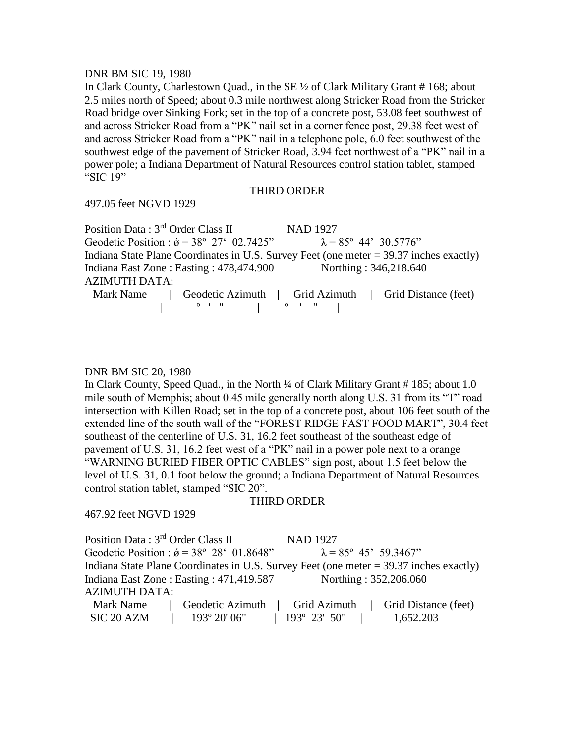#### DNR BM SIC 19, 1980

In Clark County, Charlestown Quad., in the SE ½ of Clark Military Grant # 168; about 2.5 miles north of Speed; about 0.3 mile northwest along Stricker Road from the Stricker Road bridge over Sinking Fork; set in the top of a concrete post, 53.08 feet southwest of and across Stricker Road from a "PK" nail set in a corner fence post, 29.38 feet west of and across Stricker Road from a "PK" nail in a telephone pole, 6.0 feet southwest of the southwest edge of the pavement of Stricker Road, 3.94 feet northwest of a "PK" nail in a power pole; a Indiana Department of Natural Resources control station tablet, stamped "SIC 19"

#### THIRD ORDER

497.05 feet NGVD 1929

Position Data : 3<sup>rd</sup> Order Class II NAD 1927 Geodetic Position :  $\acute{\sigma} = 38^{\circ} 27' 02.7425'' \qquad \lambda = 85^{\circ} 44' 30.5776''$ Indiana State Plane Coordinates in U.S. Survey Feet (one meter = 39.37 inches exactly) Indiana East Zone : Easting : 478,474.900 Northing : 346,218.640 AZIMUTH DATA: Mark Name  $\begin{array}{c|c|c|c|c}\n\hline\n\text{Geodetic Azimuth} & \text{Grid Azimuth} & \text{Grid Distance (feet)}\n\end{array}$  $\begin{array}{ccc} 0 & 1 & 0 \\ 0 & 0 & 0 \end{array}$ 

#### DNR BM SIC 20, 1980

In Clark County, Speed Quad., in the North ¼ of Clark Military Grant #185; about 1.0 mile south of Memphis; about 0.45 mile generally north along U.S. 31 from its "T" road intersection with Killen Road; set in the top of a concrete post, about 106 feet south of the extended line of the south wall of the "FOREST RIDGE FAST FOOD MART", 30.4 feet southeast of the centerline of U.S. 31, 16.2 feet southeast of the southeast edge of pavement of U.S. 31, 16.2 feet west of a "PK" nail in a power pole next to a orange "WARNING BURIED FIBER OPTIC CABLES" sign post, about 1.5 feet below the level of U.S. 31, 0.1 foot below the ground; a Indiana Department of Natural Resources control station tablet, stamped "SIC 20".

#### THIRD ORDER

467.92 feet NGVD 1929

Position Data : 3<sup>rd</sup> Order Class II NAD 1927 Geodetic Position :  $\acute{\theta} = 38^{\circ} 28' 01.8648''$   $\lambda = 85^{\circ} 45' 59.3467''$ Indiana State Plane Coordinates in U.S. Survey Feet (one meter = 39.37 inches exactly) Indiana East Zone : Easting : 471,419.587 Northing : 352,206.060 AZIMUTH DATA: Mark Name | Geodetic Azimuth | Grid Azimuth | Grid Distance (feet) SIC 20 AZM | 193° 20' 06" | 193° 23' 50" | 1,652.203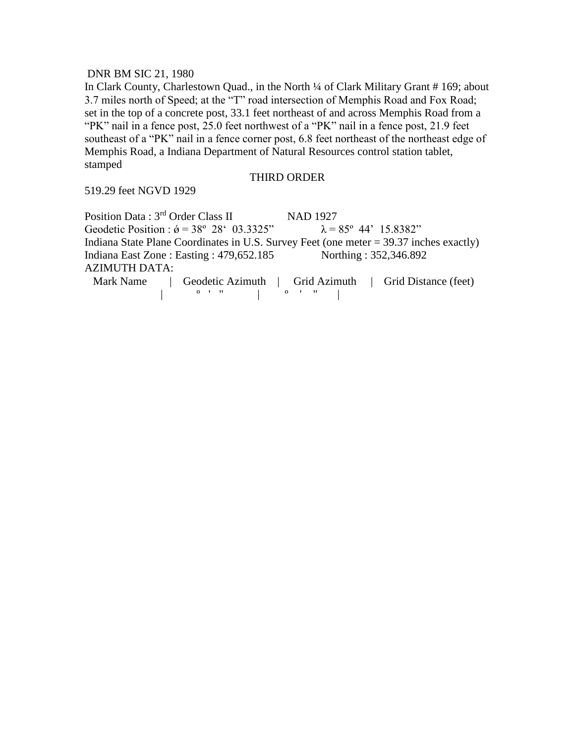# DNR BM SIC 21, 1980

In Clark County, Charlestown Quad., in the North ¼ of Clark Military Grant # 169; about 3.7 miles north of Speed; at the "T" road intersection of Memphis Road and Fox Road; set in the top of a concrete post, 33.1 feet northeast of and across Memphis Road from a "PK" nail in a fence post, 25.0 feet northwest of a "PK" nail in a fence post, 21.9 feet southeast of a "PK" nail in a fence corner post, 6.8 feet northeast of the northeast edge of Memphis Road, a Indiana Department of Natural Resources control station tablet, stamped

#### THIRD ORDER

519.29 feet NGVD 1929

Position Data : 3<sup>rd</sup> Order Class II NAD 1927 Geodetic Position :  $\acute{\theta} = 38^{\circ} 28' 03.3325''$   $\lambda = 85^{\circ} 44' 15.8382''$ Indiana State Plane Coordinates in U.S. Survey Feet (one meter = 39.37 inches exactly) Indiana East Zone : Easting : 479,652.185 Northing : 352,346.892 AZIMUTH DATA: Mark Name | Geodetic Azimuth | Grid Azimuth | Grid Distance (feet)  $\begin{bmatrix} 0 & 0 & 0 & 0 \\ 0 & 0 & 0 & 0 \\ 0 & 0 & 0 & 0 \\ 0 & 0 & 0 & 0 \\ 0 & 0 & 0 & 0 \\ 0 & 0 & 0 & 0 \\ 0 & 0 & 0 & 0 \\ 0 & 0 & 0 & 0 \\ 0 & 0 & 0 & 0 \\ 0 & 0 & 0 & 0 \\ 0 & 0 & 0 & 0 & 0 \\ 0 & 0 & 0 & 0 & 0 \\ 0 & 0 & 0 & 0 & 0 \\ 0 & 0 & 0 & 0 & 0 & 0 \\ 0 & 0 & 0 & 0 & 0 & 0 \\ 0 & 0 & 0 & 0 &$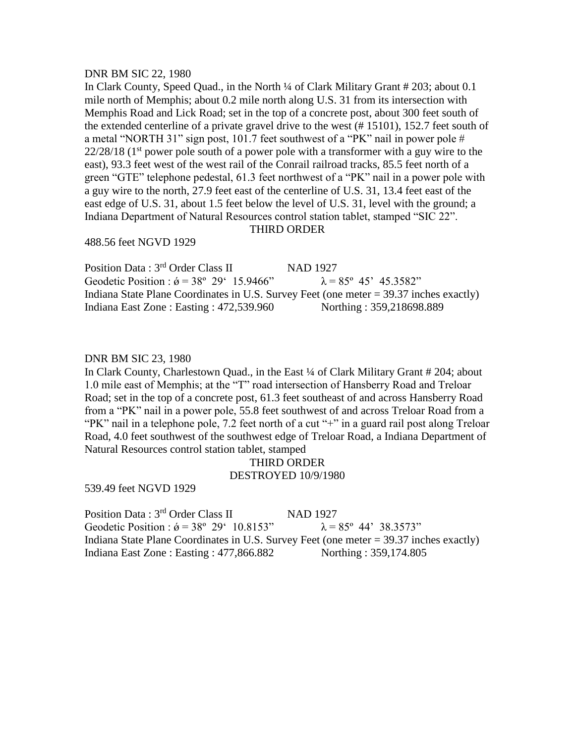#### DNR BM SIC 22, 1980

In Clark County, Speed Quad., in the North ¼ of Clark Military Grant # 203; about 0.1 mile north of Memphis; about 0.2 mile north along U.S. 31 from its intersection with Memphis Road and Lick Road; set in the top of a concrete post, about 300 feet south of the extended centerline of a private gravel drive to the west (# 15101), 152.7 feet south of a metal "NORTH 31" sign post, 101.7 feet southwest of a "PK" nail in power pole #  $22/28/18$  (1<sup>st</sup> power pole south of a power pole with a transformer with a guy wire to the east), 93.3 feet west of the west rail of the Conrail railroad tracks, 85.5 feet north of a green "GTE" telephone pedestal, 61.3 feet northwest of a "PK" nail in a power pole with a guy wire to the north, 27.9 feet east of the centerline of U.S. 31, 13.4 feet east of the east edge of U.S. 31, about 1.5 feet below the level of U.S. 31, level with the ground; a Indiana Department of Natural Resources control station tablet, stamped "SIC 22".

### THIRD ORDER

488.56 feet NGVD 1929

Position Data : 3<sup>rd</sup> Order Class II NAD 1927 Geodetic Position :  $\acute{\theta} = 38^{\circ} 29' 15.9466''$   $\lambda = 85^{\circ} 45' 45.3582''$ Indiana State Plane Coordinates in U.S. Survey Feet (one meter = 39.37 inches exactly) Indiana East Zone : Easting : 472,539.960 Northing : 359,218698.889

#### DNR BM SIC 23, 1980

In Clark County, Charlestown Quad., in the East ¼ of Clark Military Grant # 204; about 1.0 mile east of Memphis; at the "T" road intersection of Hansberry Road and Treloar Road; set in the top of a concrete post, 61.3 feet southeast of and across Hansberry Road from a "PK" nail in a power pole, 55.8 feet southwest of and across Treloar Road from a "PK" nail in a telephone pole, 7.2 feet north of a cut "+" in a guard rail post along Treloar Road, 4.0 feet southwest of the southwest edge of Treloar Road, a Indiana Department of Natural Resources control station tablet, stamped

# THIRD ORDER DESTROYED 10/9/1980

539.49 feet NGVD 1929

Position Data : 3<sup>rd</sup> Order Class II NAD 1927 Geodetic Position :  $\acute{\theta} = 38^{\circ} 29' 10.8153''$   $\lambda = 85^{\circ} 44' 38.3573''$ Indiana State Plane Coordinates in U.S. Survey Feet (one meter = 39.37 inches exactly) Indiana East Zone : Easting : 477,866.882 Northing : 359,174.805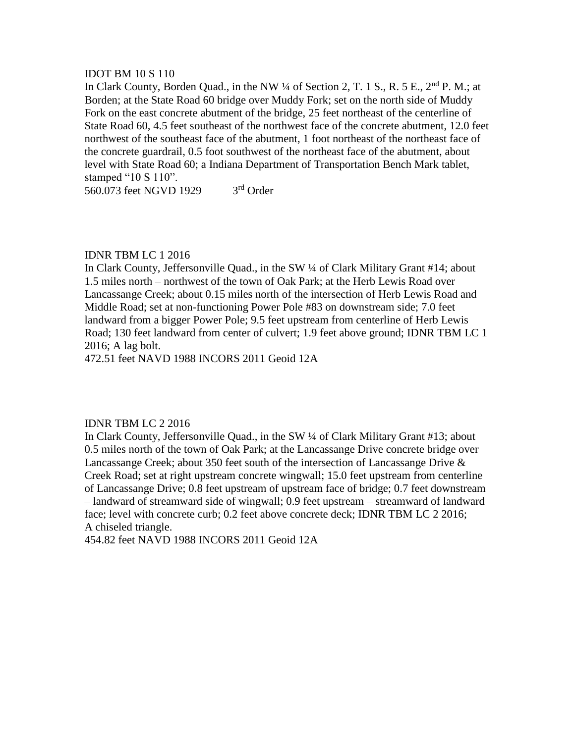### IDOT BM 10 S 110

In Clark County, Borden Quad., in the NW 1/4 of Section 2, T. 1 S., R. 5 E., 2<sup>nd</sup> P. M.; at Borden; at the State Road 60 bridge over Muddy Fork; set on the north side of Muddy Fork on the east concrete abutment of the bridge, 25 feet northeast of the centerline of State Road 60, 4.5 feet southeast of the northwest face of the concrete abutment, 12.0 feet northwest of the southeast face of the abutment, 1 foot northeast of the northeast face of the concrete guardrail, 0.5 foot southwest of the northeast face of the abutment, about level with State Road 60; a Indiana Department of Transportation Bench Mark tablet, stamped "10 S 110".

560.073 feet NGVD 1929 3<sup>rd</sup> Order

# IDNR TBM LC 1 2016

In Clark County, Jeffersonville Quad., in the SW ¼ of Clark Military Grant #14; about 1.5 miles north – northwest of the town of Oak Park; at the Herb Lewis Road over Lancassange Creek; about 0.15 miles north of the intersection of Herb Lewis Road and Middle Road; set at non-functioning Power Pole #83 on downstream side; 7.0 feet landward from a bigger Power Pole; 9.5 feet upstream from centerline of Herb Lewis Road; 130 feet landward from center of culvert; 1.9 feet above ground; IDNR TBM LC 1 2016; A lag bolt.

472.51 feet NAVD 1988 INCORS 2011 Geoid 12A

# IDNR TBM LC 2 2016

In Clark County, Jeffersonville Quad., in the SW ¼ of Clark Military Grant #13; about 0.5 miles north of the town of Oak Park; at the Lancassange Drive concrete bridge over Lancassange Creek; about 350 feet south of the intersection of Lancassange Drive & Creek Road; set at right upstream concrete wingwall; 15.0 feet upstream from centerline of Lancassange Drive; 0.8 feet upstream of upstream face of bridge; 0.7 feet downstream – landward of streamward side of wingwall; 0.9 feet upstream – streamward of landward face; level with concrete curb; 0.2 feet above concrete deck; IDNR TBM LC 2 2016; A chiseled triangle.

454.82 feet NAVD 1988 INCORS 2011 Geoid 12A